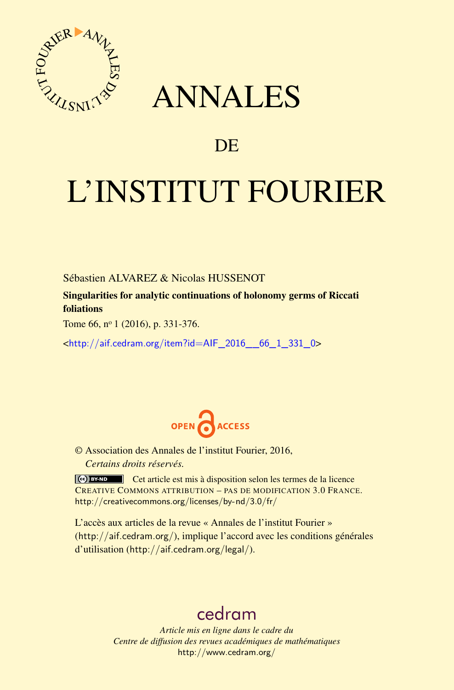

## ANNALES

## **DE**

# L'INSTITUT FOURIER

Sébastien ALVAREZ & Nicolas HUSSENOT

Singularities for analytic continuations of holonomy germs of Riccati foliations

Tome 66, nº 1 (2016), p. 331-376.

<[http://aif.cedram.org/item?id=AIF\\_2016\\_\\_66\\_1\\_331\\_0](http://aif.cedram.org/item?id=AIF_2016__66_1_331_0)>



© Association des Annales de l'institut Fourier, 2016, *Certains droits réservés.*

Cet article est mis à disposition selon les termes de la licence CREATIVE COMMONS ATTRIBUTION – PAS DE MODIFICATION 3.0 FRANCE. <http://creativecommons.org/licenses/by-nd/3.0/fr/>

L'accès aux articles de la revue « Annales de l'institut Fourier » (<http://aif.cedram.org/>), implique l'accord avec les conditions générales d'utilisation (<http://aif.cedram.org/legal/>).

## [cedram](http://www.cedram.org/)

*Article mis en ligne dans le cadre du Centre de diffusion des revues académiques de mathématiques* <http://www.cedram.org/>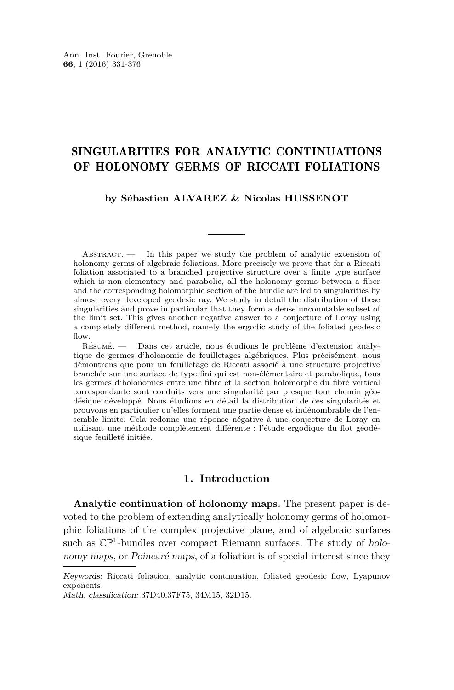### SINGULARITIES FOR ANALYTIC CONTINUATIONS OF HOLONOMY GERMS OF RICCATI FOLIATIONS

#### **by Sébastien ALVAREZ & Nicolas HUSSENOT**

ABSTRACT. — In this paper we study the problem of analytic extension of holonomy germs of algebraic foliations. More precisely we prove that for a Riccati foliation associated to a branched projective structure over a finite type surface which is non-elementary and parabolic, all the holonomy germs between a fiber and the corresponding holomorphic section of the bundle are led to singularities by almost every developed geodesic ray. We study in detail the distribution of these singularities and prove in particular that they form a dense uncountable subset of the limit set. This gives another negative answer to a conjecture of Loray using a completely different method, namely the ergodic study of the foliated geodesic flow.

Résumé. — Dans cet article, nous étudions le problème d'extension analytique de germes d'holonomie de feuilletages algébriques. Plus précisément, nous démontrons que pour un feuilletage de Riccati associé à une structure projective branchée sur une surface de type fini qui est non-élémentaire et parabolique, tous les germes d'holonomies entre une fibre et la section holomorphe du fibré vertical correspondante sont conduits vers une singularité par presque tout chemin géodésique développé. Nous étudions en détail la distribution de ces singularités et prouvons en particulier qu'elles forment une partie dense et indénombrable de l'ensemble limite. Cela redonne une réponse négative à une conjecture de Loray en utilisant une méthode complètement différente : l'étude ergodique du flot géodésique feuilleté initiée.

#### **1. Introduction**

**Analytic continuation of holonomy maps.** The present paper is devoted to the problem of extending analytically holonomy germs of holomorphic foliations of the complex projective plane, and of algebraic surfaces such as  $\mathbb{CP}^1$ -bundles over compact Riemann surfaces. The study of holonomy maps, or Poincaré maps, of a foliation is of special interest since they

Keywords: Riccati foliation, analytic continuation, foliated geodesic flow, Lyapunov exponents.

Math. classification: 37D40,37F75, 34M15, 32D15.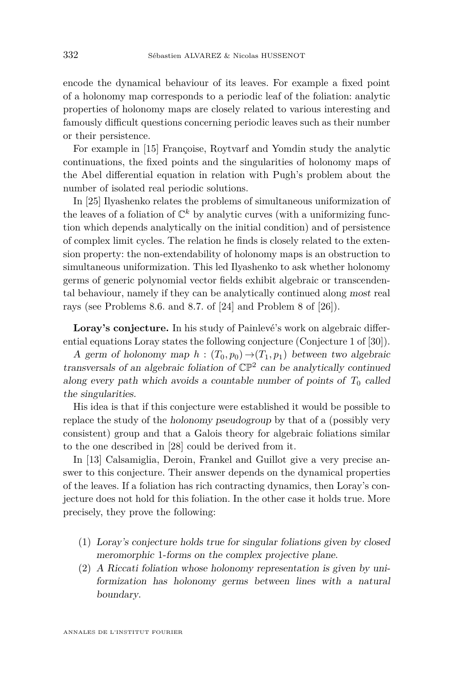encode the dynamical behaviour of its leaves. For example a fixed point of a holonomy map corresponds to a periodic leaf of the foliation: analytic properties of holonomy maps are closely related to various interesting and famously difficult questions concerning periodic leaves such as their number or their persistence.

For example in [\[15\]](#page-45-0) Françoise, Roytvarf and Yomdin study the analytic continuations, the fixed points and the singularities of holonomy maps of the Abel differential equation in relation with Pugh's problem about the number of isolated real periodic solutions.

In [\[25\]](#page-45-1) Ilyashenko relates the problems of simultaneous uniformization of the leaves of a foliation of  $\mathbb{C}^k$  by analytic curves (with a uniformizing function which depends analytically on the initial condition) and of persistence of complex limit cycles. The relation he finds is closely related to the extension property: the non-extendability of holonomy maps is an obstruction to simultaneous uniformization. This led Ilyashenko to ask whether holonomy germs of generic polynomial vector fields exhibit algebraic or transcendental behaviour, namely if they can be analytically continued along most real rays (see Problems 8.6. and 8.7. of [\[24\]](#page-45-2) and Problem 8 of [\[26\]](#page-45-3)).

**Loray's conjecture.** In his study of Painlevé's work on algebraic differential equations Loray states the following conjecture (Conjecture 1 of [\[30\]](#page-45-4)).

A germ of holonomy map  $h : (T_0, p_0) \rightarrow (T_1, p_1)$  between two algebraic transversals of an algebraic foliation of  $\mathbb{CP}^2$  can be analytically continued along every path which avoids a countable number of points of  $T_0$  called the singularities.

His idea is that if this conjecture were established it would be possible to replace the study of the holonomy pseudogroup by that of a (possibly very consistent) group and that a Galois theory for algebraic foliations similar to the one described in [\[28\]](#page-45-5) could be derived from it.

In [\[13\]](#page-45-6) Calsamiglia, Deroin, Frankel and Guillot give a very precise answer to this conjecture. Their answer depends on the dynamical properties of the leaves. If a foliation has rich contracting dynamics, then Loray's conjecture does not hold for this foliation. In the other case it holds true. More precisely, they prove the following:

- (1) Loray's conjecture holds true for singular foliations given by closed meromorphic 1-forms on the complex projective plane.
- (2) A Riccati foliation whose holonomy representation is given by uniformization has holonomy germs between lines with a natural boundary.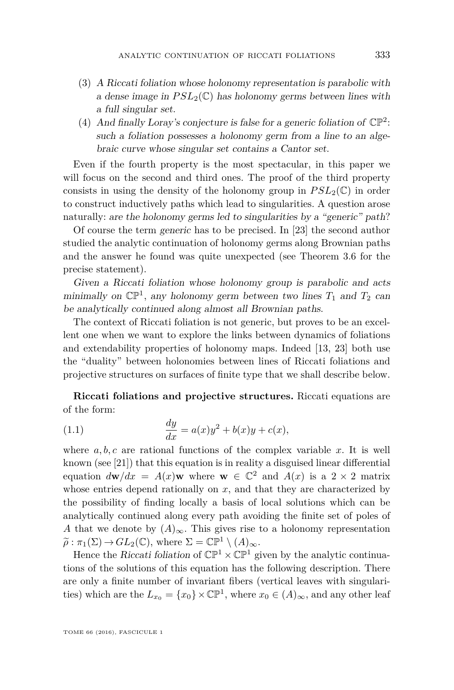- (3) A Riccati foliation whose holonomy representation is parabolic with a dense image in  $PSL_2(\mathbb{C})$  has holonomy germs between lines with a full singular set.
- (4) And finally Loray's conjecture is false for a generic foliation of  $\mathbb{CP}^2$ : such a foliation possesses a holonomy germ from a line to an algebraic curve whose singular set contains a Cantor set.

Even if the fourth property is the most spectacular, in this paper we will focus on the second and third ones. The proof of the third property consists in using the density of the holonomy group in  $PSL_2(\mathbb{C})$  in order to construct inductively paths which lead to singularities. A question arose naturally: are the holonomy germs led to singularities by a "generic" path?

Of course the term generic has to be precised. In [\[23\]](#page-45-7) the second author studied the analytic continuation of holonomy germs along Brownian paths and the answer he found was quite unexpected (see Theorem [3.6](#page-19-0) for the precise statement).

Given a Riccati foliation whose holonomy group is parabolic and acts minimally on  $\mathbb{CP}^1$ , any holonomy germ between two lines  $T_1$  and  $T_2$  can be analytically continued along almost all Brownian paths.

The context of Riccati foliation is not generic, but proves to be an excellent one when we want to explore the links between dynamics of foliations and extendability properties of holonomy maps. Indeed [\[13,](#page-45-6) [23\]](#page-45-7) both use the "duality" between holonomies between lines of Riccati foliations and projective structures on surfaces of finite type that we shall describe below.

**Riccati foliations and projective structures.** Riccati equations are of the form:

(1.1) 
$$
\frac{dy}{dx} = a(x)y^2 + b(x)y + c(x),
$$

where  $a, b, c$  are rational functions of the complex variable  $x$ . It is well known (see [\[21\]](#page-45-8)) that this equation is in reality a disguised linear differential equation  $d\mathbf{w}/dx = A(x)\mathbf{w}$  where  $\mathbf{w} \in \mathbb{C}^2$  and  $A(x)$  is a 2 × 2 matrix whose entries depend rationally on *x*, and that they are characterized by the possibility of finding locally a basis of local solutions which can be analytically continued along every path avoiding the finite set of poles of *A* that we denote by  $(A)_{\infty}$ . This gives rise to a holonomy representation  $\widetilde{\rho}: \pi_1(\Sigma) \to GL_2(\mathbb{C})$ , where  $\Sigma = \mathbb{CP}^1 \setminus (A)_{\infty}$ .

Hence the Riccati foliation of  $\mathbb{CP}^1 \times \mathbb{CP}^1$  given by the analytic continuations of the solutions of this equation has the following description. There are only a finite number of invariant fibers (vertical leaves with singularities) which are the  $L_{x_0} = \{x_0\} \times \mathbb{CP}^1$ , where  $x_0 \in (A)_{\infty}$ , and any other leaf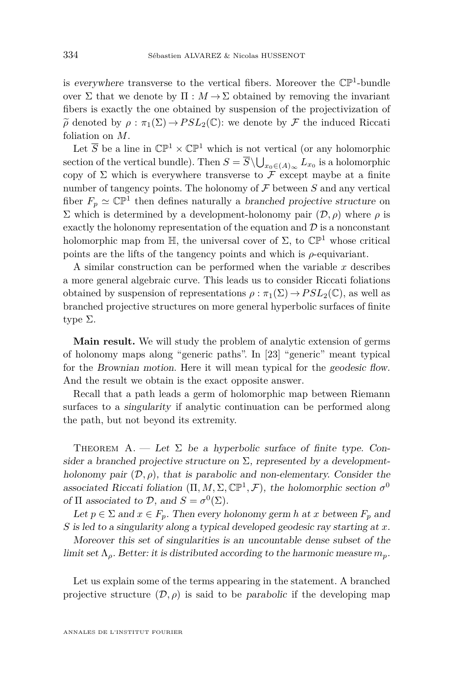is everywhere transverse to the vertical fibers. Moreover the  $\mathbb{CP}^1$ -bundle over  $\Sigma$  that we denote by  $\Pi : M \to \Sigma$  obtained by removing the invariant fibers is exactly the one obtained by suspension of the projectivization of  $\tilde{\rho}$  denoted by  $\rho : \pi_1(\Sigma) \to PSL_2(\mathbb{C})$ : we denote by  $\mathcal F$  the induced Riccati foliation on *M*.

Let  $\overline{S}$  be a line in  $\mathbb{CP}^1 \times \mathbb{CP}^1$  which is not vertical (or any holomorphic section of the vertical bundle). Then  $S = S \setminus \bigcup_{x_0 \in (A)_{\infty}} L_{x_0}$  is a holomorphic copy of  $\Sigma$  which is everywhere transverse to  $\mathcal F$  except maybe at a finite number of tangency points. The holonomy of  $\mathcal F$  between  $S$  and any vertical fiber  $F_p \simeq \mathbb{CP}^1$  then defines naturally a branched projective structure on Σ which is determined by a development-holonomy pair (D*, ρ*) where *ρ* is exactly the holonomy representation of the equation and  $\mathcal D$  is a nonconstant holomorphic map from H, the universal cover of  $\Sigma$ , to  $\mathbb{CP}^1$  whose critical points are the lifts of the tangency points and which is *ρ*-equivariant.

A similar construction can be performed when the variable *x* describes a more general algebraic curve. This leads us to consider Riccati foliations obtained by suspension of representations  $\rho : \pi_1(\Sigma) \to PSL_2(\mathbb{C})$ , as well as branched projective structures on more general hyperbolic surfaces of finite type Σ.

**Main result.** We will study the problem of analytic extension of germs of holonomy maps along "generic paths". In [\[23\]](#page-45-7) "generic" meant typical for the Brownian motion. Here it will mean typical for the geodesic flow. And the result we obtain is the exact opposite answer.

Recall that a path leads a germ of holomorphic map between Riemann surfaces to a singularity if analytic continuation can be performed along the path, but not beyond its extremity.

<span id="page-4-0"></span>THEOREM A. — Let  $\Sigma$  be a hyperbolic surface of finite type. Consider a branched projective structure on  $\Sigma$ , represented by a developmentholonomy pair  $(D, \rho)$ , that is parabolic and non-elementary. Consider the associated Riccati foliation  $(\Pi, M, \Sigma, \mathbb{CP}^1, \mathcal{F})$ , the holomorphic section  $\sigma^0$ of  $\Pi$  associated to  $\mathcal{D}$ , and  $S = \sigma^0(\Sigma)$ .

Let  $p \in \Sigma$  and  $x \in F_p$ . Then every holonomy germ *h* at *x* between  $F_p$  and *S* is led to a singularity along a typical developed geodesic ray starting at *x*.

Moreover this set of singularities is an uncountable dense subset of the limit set  $\Lambda$ <sub>ρ</sub>. Better: it is distributed according to the harmonic measure  $m_p$ .

Let us explain some of the terms appearing in the statement. A branched projective structure  $(D, \rho)$  is said to be parabolic if the developing map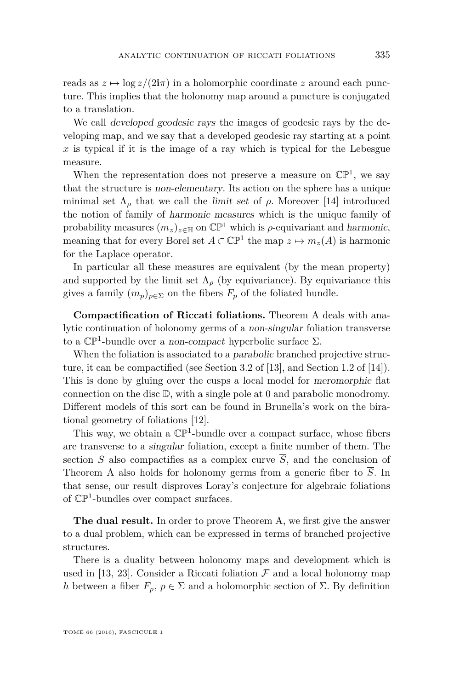reads as  $z \mapsto \log z/(2i\pi)$  in a holomorphic coordinate z around each puncture. This implies that the holonomy map around a puncture is conjugated to a translation.

We call developed geodesic rays the images of geodesic rays by the developing map, and we say that a developed geodesic ray starting at a point  $x$  is typical if it is the image of a ray which is typical for the Lebesgue measure.

When the representation does not preserve a measure on  $\mathbb{CP}^1$ , we say that the structure is non-elementary. Its action on the sphere has a unique minimal set  $\Lambda_{\rho}$  that we call the limit set of  $\rho$ . Moreover [\[14\]](#page-45-9) introduced the notion of family of harmonic measures which is the unique family of probability measures  $(m_z)_{z \in \mathbb{H}}$  on  $\mathbb{CP}^1$  which is  $\rho$ -equivariant and harmonic, meaning that for every Borel set  $A \subset \mathbb{CP}^1$  the map  $z \mapsto m_z(A)$  is harmonic for the Laplace operator.

In particular all these measures are equivalent (by the mean property) and supported by the limit set  $\Lambda_{\rho}$  (by equivariance). By equivariance this gives a family  $(m_p)_{p \in \Sigma}$  on the fibers  $F_p$  of the foliated bundle.

**Compactification of Riccati foliations.** Theorem [A](#page-4-0) deals with analytic continuation of holonomy germs of a non-singular foliation transverse to a  $\mathbb{CP}^1$ -bundle over a non-compact hyperbolic surface  $\Sigma$ .

When the foliation is associated to a *parabolic* branched projective structure, it can be compactified (see Section 3.2 of [\[13\]](#page-45-6), and Section 1.2 of [\[14\]](#page-45-9)). This is done by gluing over the cusps a local model for meromorphic flat connection on the disc  $\mathbb{D}$ , with a single pole at 0 and parabolic monodromy. Different models of this sort can be found in Brunella's work on the birational geometry of foliations [\[12\]](#page-44-0).

This way, we obtain a  $\mathbb{CP}^1$ -bundle over a compact surface, whose fibers are transverse to a singular foliation, except a finite number of them. The section *S* also compactifies as a complex curve  $\overline{S}$ , and the conclusion of Theorem [A](#page-4-0) also holds for holonomy germs from a generic fiber to  $\overline{S}$ . In that sense, our result disproves Loray's conjecture for algebraic foliations of  $\mathbb{CP}^1$ -bundles over compact surfaces.

**The dual result.** In order to prove Theorem [A,](#page-4-0) we first give the answer to a dual problem, which can be expressed in terms of branched projective structures.

There is a duality between holonomy maps and development which is used in [\[13,](#page-45-6) [23\]](#page-45-7). Consider a Riccati foliation  $\mathcal F$  and a local holonomy map *h* between a fiber  $F_p$ ,  $p \in \Sigma$  and a holomorphic section of  $\Sigma$ . By definition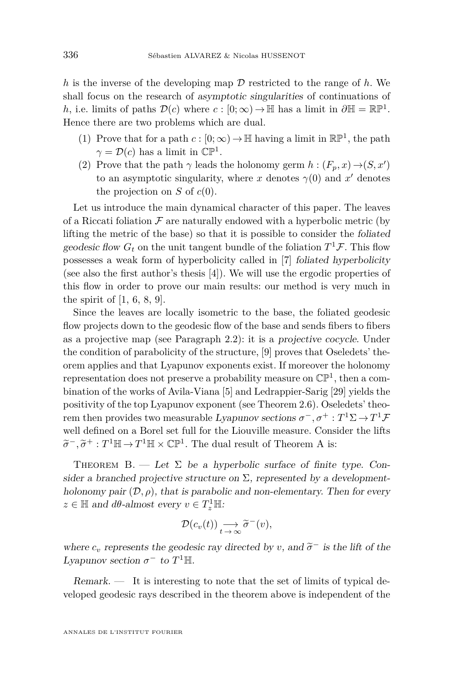*h* is the inverse of the developing map  $\mathcal D$  restricted to the range of  $h$ . We shall focus on the research of asymptotic singularities of continuations of *h*, i.e. limits of paths  $\mathcal{D}(c)$  where  $c : [0; \infty) \to \mathbb{H}$  has a limit in  $\partial \mathbb{H} = \mathbb{RP}^1$ . Hence there are two problems which are dual.

- (1) Prove that for a path  $c: [0; \infty) \to \mathbb{H}$  having a limit in  $\mathbb{RP}^1$ , the path  $\gamma = \mathcal{D}(c)$  has a limit in  $\mathbb{CP}^1$ .
- (2) Prove that the path  $\gamma$  leads the holonomy germ  $h : (F_p, x) \rightarrow (S, x')$ to an asymptotic singularity, where  $x$  denotes  $\gamma(0)$  and  $x'$  denotes the projection on  $S$  of  $c(0)$ .

Let us introduce the main dynamical character of this paper. The leaves of a Riccati foliation  $\mathcal F$  are naturally endowed with a hyperbolic metric (by lifting the metric of the base) so that it is possible to consider the foliated geodesic flow  $G_t$  on the unit tangent bundle of the foliation  $T^1\mathcal{F}$ . This flow possesses a weak form of hyperbolicity called in [\[7\]](#page-44-1) foliated hyperbolicity (see also the first author's thesis [\[4\]](#page-44-2)). We will use the ergodic properties of this flow in order to prove our main results: our method is very much in the spirit of  $[1, 6, 8, 9]$  $[1, 6, 8, 9]$  $[1, 6, 8, 9]$  $[1, 6, 8, 9]$  $[1, 6, 8, 9]$  $[1, 6, 8, 9]$  $[1, 6, 8, 9]$ .

Since the leaves are locally isometric to the base, the foliated geodesic flow projects down to the geodesic flow of the base and sends fibers to fibers as a projective map (see Paragraph [2.2\)](#page-11-0): it is a projective cocycle. Under the condition of parabolicity of the structure, [\[9\]](#page-44-6) proves that Oseledets' theorem applies and that Lyapunov exponents exist. If moreover the holonomy representation does not preserve a probability measure on  $\mathbb{CP}^1$ , then a combination of the works of Avila-Viana [\[5\]](#page-44-7) and Ledrappier-Sarig [\[29\]](#page-45-10) yields the positivity of the top Lyapunov exponent (see Theorem [2.6\)](#page-14-0). Oseledets' theorem then provides two measurable Lyapunov sections  $\sigma^-, \sigma^+ : T^1\Sigma \to T^1\mathcal{F}$ well defined on a Borel set full for the Liouville measure. Consider the lifts  $\widetilde{\sigma}^-$ ,  $\widetilde{\sigma}^+$  :  $T^1 \mathbb{H} \to T^1 \mathbb{H} \times \mathbb{CP}^1$ . The dual result of Theorem [A](#page-4-0) is:

<span id="page-6-0"></span>THEOREM B. — Let  $\Sigma$  be a hyperbolic surface of finite type. Consider a branched projective structure on  $\Sigma$ , represented by a developmentholonomy pair  $(D, \rho)$ , that is parabolic and non-elementary. Then for every  $z \in \mathbb{H}$  and  $d\theta$ -almost every  $v \in T_z^1 \mathbb{H}$ :

$$
\mathcal{D}(c_v(t)) \underset{t \to \infty}{\longrightarrow} \widetilde{\sigma}^-(v),
$$

where  $c_v$  represents the geodesic ray directed by *v*, and  $\tilde{\sigma}^-$  is the lift of the Lemman section  $\sigma^-$  to  $T^{\text{I}}$ <sup>II</sup> Lyapunov section  $\sigma^-$  to  $T^1$ H.

Remark. — It is interesting to note that the set of limits of typical developed geodesic rays described in the theorem above is independent of the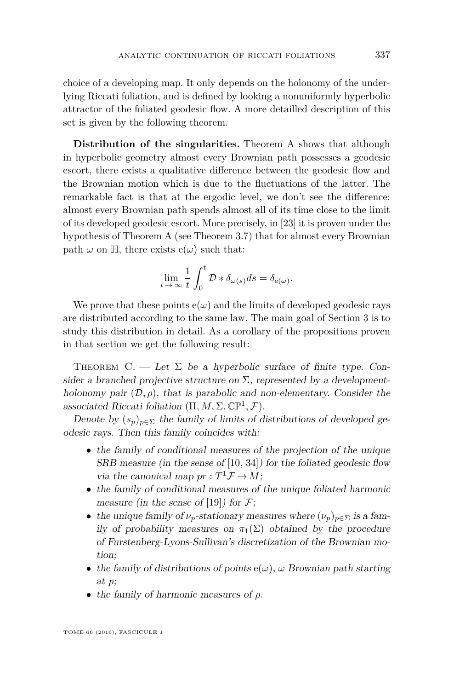choice of a developing map. It only depends on the holonomy of the underlying Riccati foliation, and is defined by looking a nonuniformly hyperbolic attractor of the foliated geodesic flow. A more detailled description of this set is given by the following theorem.

**Distribution of the singularities.** Theorem [A](#page-4-0) shows that although in hyperbolic geometry almost every Brownian path possesses a geodesic escort, there exists a qualitative difference between the geodesic flow and the Brownian motion which is due to the fluctuations of the latter. The remarkable fact is that at the ergodic level, we don't see the difference: almost every Brownian path spends almost all of its time close to the limit of its developed geodesic escort. More precisely, in [\[23\]](#page-45-7) it is proven under the hypothesis of Theorem [A](#page-4-0) (see Theorem [3.7\)](#page-19-1) that for almost every Brownian path  $\omega$  on H, there exists  $e(\omega)$  such that:

$$
\lim_{t \to \infty} \frac{1}{t} \int_0^t \mathcal{D} * \delta_{\omega(s)} ds = \delta_{\mathbf{e}(\omega)}.
$$

We prove that these points  $e(\omega)$  and the limits of developed geodesic rays are distributed according to the same law. The main goal of Section [3](#page-15-0) is to study this distribution in detail. As a corollary of the propositions proven in that section we get the following result:

<span id="page-7-0"></span>THEOREM  $C.$  — Let  $\Sigma$  be a hyperbolic surface of finite type. Consider a branched projective structure on  $\Sigma$ , represented by a developmentholonomy pair  $(\mathcal{D}, \rho)$ , that is parabolic and non-elementary. Consider the associated Riccati foliation  $(\Pi, M, \Sigma, \mathbb{CP}^1, \mathcal{F})$ .

Denote by  $(s_p)_{p \in \Sigma}$  the family of limits of distributions of developed geodesic rays. Then this family coincides with:

- the family of conditional measures of the projection of the unique SRB measure (in the sense of [\[10,](#page-44-8) [34\]](#page-45-11)) for the foliated geodesic flow via the canonical map  $pr: T^1 \mathcal{F} \to M$ ;
- the family of conditional measures of the unique foliated harmonic measure (in the sense of [\[19\]](#page-45-12)) for  $\mathcal{F}$ ;
- the unique family of  $\nu_p$ -stationary measures where  $(\nu_p)_{p \in \Sigma}$  is a family of probability measures on  $\pi_1(\Sigma)$  obtained by the procedure of Furstenberg-Lyons-Sullivan's discretization of the Brownian motion;
- the family of distributions of points  $e(\omega)$ ,  $\omega$  Brownian path starting at *p*;
- the family of harmonic measures of *ρ*.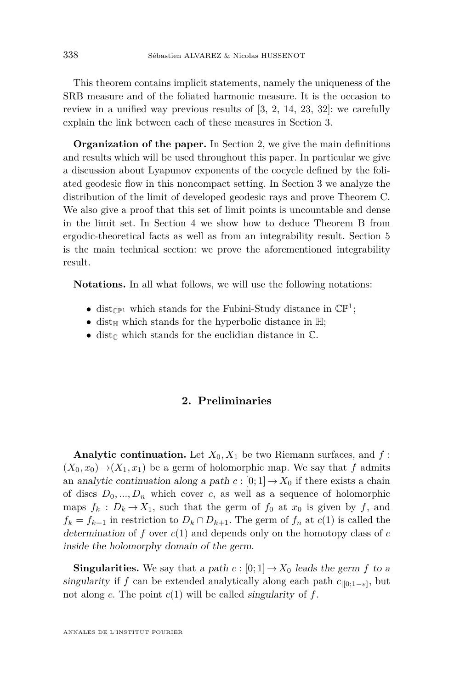This theorem contains implicit statements, namely the uniqueness of the SRB measure and of the foliated harmonic measure. It is the occasion to review in a unified way previous results of [\[3,](#page-44-9) [2,](#page-44-10) [14,](#page-45-9) [23,](#page-45-7) [32\]](#page-45-13): we carefully explain the link between each of these measures in Section [3.](#page-15-0)

**Organization of the paper.** In Section [2,](#page-8-0) we give the main definitions and results which will be used throughout this paper. In particular we give a discussion about Lyapunov exponents of the cocycle defined by the foliated geodesic flow in this noncompact setting. In Section [3](#page-15-0) we analyze the distribution of the limit of developed geodesic rays and prove Theorem [C.](#page-7-0) We also give a proof that this set of limit points is uncountable and dense in the limit set. In Section [4](#page-22-0) we show how to deduce Theorem [B](#page-6-0) from ergodic-theoretical facts as well as from an integrability result. Section [5](#page-27-0) is the main technical section: we prove the aforementioned integrability result.

**Notations.** In all what follows, we will use the following notations:

- dist<sub> $\mathbb{CP}^1$ </sub> which stands for the Fubini-Study distance in  $\mathbb{CP}^1$ ;
- dist<sub>H</sub> which stands for the hyperbolic distance in  $H$ ;
- dist<sub> $\mathbb C$ </sub> which stands for the euclidian distance in  $\mathbb C$ .

#### **2. Preliminaries**

<span id="page-8-0"></span>**Analytic continuation.** Let  $X_0, X_1$  be two Riemann surfaces, and  $f$ :  $(X_0, x_0) \rightarrow (X_1, x_1)$  be a germ of holomorphic map. We say that f admits an analytic continuation along a path  $c : [0; 1] \to X_0$  if there exists a chain of discs  $D_0, ..., D_n$  which cover *c*, as well as a sequence of holomorphic maps  $f_k : D_k \to X_1$ , such that the germ of  $f_0$  at  $x_0$  is given by  $f$ , and  $f_k = f_{k+1}$  in restriction to  $D_k \cap D_{k+1}$ . The germ of  $f_n$  at  $c(1)$  is called the determination of *f* over *c*(1) and depends only on the homotopy class of *c* inside the holomorphy domain of the germ.

**Singularities.** We say that a path  $c : [0, 1] \rightarrow X_0$  leads the germ  $f$  to a singularity if *f* can be extended analytically along each path  $c_{|[0;1-\varepsilon]}$ , but not along *c*. The point *c*(1) will be called singularity of *f*.

ANNALES DE L'INSTITUT FOURIER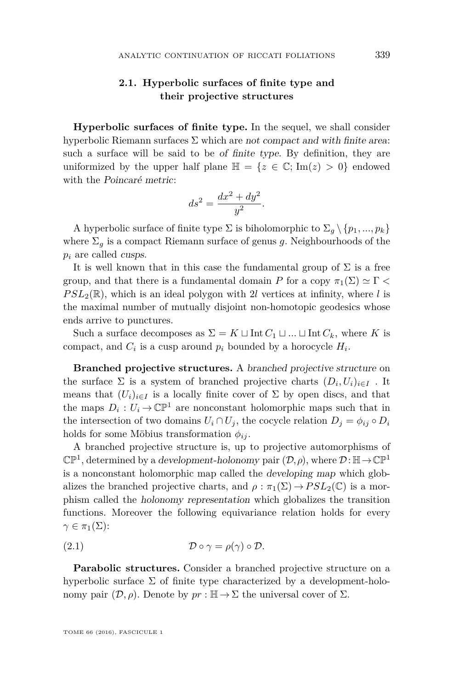#### **2.1. Hyperbolic surfaces of finite type and their projective structures**

**Hyperbolic surfaces of finite type.** In the sequel, we shall consider hyperbolic Riemann surfaces  $\Sigma$  which are not compact and with finite area: such a surface will be said to be of finite type. By definition, they are uniformized by the upper half plane  $\mathbb{H} = \{z \in \mathbb{C}; \text{Im}(z) > 0\}$  endowed with the Poincaré metric:

$$
ds^2 = \frac{dx^2 + dy^2}{y^2}.
$$

A hyperbolic surface of finite type  $\Sigma$  is biholomorphic to  $\Sigma_g \setminus \{p_1, ..., p_k\}$ where  $\Sigma_g$  is a compact Riemann surface of genus g. Neighbourhoods of the *p<sup>i</sup>* are called cusps.

It is well known that in this case the fundamental group of  $\Sigma$  is a free group, and that there is a fundamental domain *P* for a copy  $\pi_1(\Sigma) \simeq \Gamma$  <  $PSL_2(\mathbb{R})$ , which is an ideal polygon with 2*l* vertices at infinity, where *l* is the maximal number of mutually disjoint non-homotopic geodesics whose ends arrive to punctures.

Such a surface decomposes as  $\Sigma = K \sqcup \text{Int } C_1 \sqcup ... \sqcup \text{Int } C_k$ , where *K* is compact, and  $C_i$  is a cusp around  $p_i$  bounded by a horocycle  $H_i$ .

**Branched projective structures.** A branched projective structure on the surface  $\Sigma$  is a system of branched projective charts  $(D_i, U_i)_{i \in I}$ . It means that  $(U_i)_{i \in I}$  is a locally finite cover of  $\Sigma$  by open discs, and that the maps  $D_i: U_i \to \mathbb{CP}^1$  are nonconstant holomorphic maps such that in the intersection of two domains  $U_i \cap U_j$ , the cocycle relation  $D_j = \phi_{ij} \circ D_i$ holds for some Möbius transformation  $\phi_{ij}$ .

A branched projective structure is, up to projective automorphisms of  $\mathbb{CP}^1$ , determined by a *development-holonomy* pair  $(\mathcal{D}, \rho)$ , where  $\mathcal{D} : \mathbb{H} \to \mathbb{CP}^1$ is a nonconstant holomorphic map called the developing map which globalizes the branched projective charts, and  $\rho : \pi_1(\Sigma) \to PSL_2(\mathbb{C})$  is a morphism called the holonomy representation which globalizes the transition functions. Moreover the following equivariance relation holds for every  $\gamma \in \pi_1(\Sigma)$ :

(2.1) 
$$
\mathcal{D} \circ \gamma = \rho(\gamma) \circ \mathcal{D}.
$$

**Parabolic structures.** Consider a branched projective structure on a hyperbolic surface  $\Sigma$  of finite type characterized by a development-holonomy pair  $(\mathcal{D}, \rho)$ . Denote by  $pr : \mathbb{H} \to \Sigma$  the universal cover of  $\Sigma$ .

TOME 66 (2016), FASCICULE 1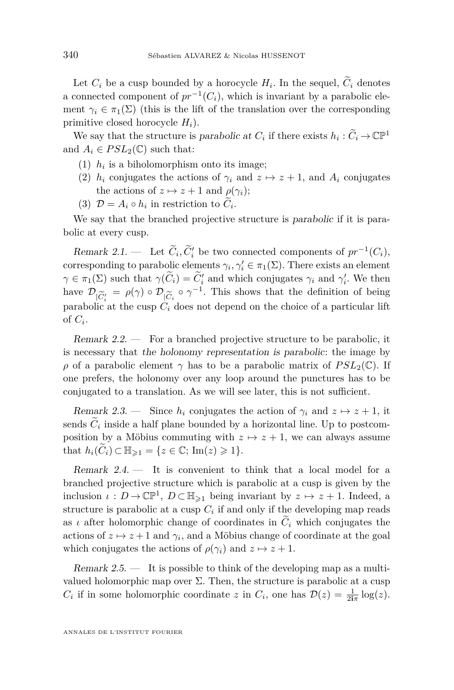Let  $C_i$  be a cusp bounded by a horocycle  $H_i$ . In the sequel,  $C_i$  denotes a connected component of  $pr^{-1}(C_i)$ , which is invariant by a parabolic element  $\gamma_i \in \pi_1(\Sigma)$  (this is the lift of the translation over the corresponding primitive closed horocycle *Hi*).

We say that the structure is parabolic at  $C_i$  if there exists  $h_i : \tilde{C}_i \to \mathbb{CP}^1$ and  $A_i \in PSL_2(\mathbb{C})$  such that:

- $(1)$   $h_i$  is a biholomorphism onto its image;
- (2)  $h_i$  conjugates the actions of  $\gamma_i$  and  $z \mapsto z+1$ , and  $A_i$  conjugates the actions of  $z \mapsto z + 1$  and  $\rho(\gamma_i)$ ;
- (3)  $\mathcal{D} = A_i \circ h_i$  in restriction to  $C_i$ .

We say that the branched projective structure is parabolic if it is parabolic at every cusp.

Remark 2.1. — Let  $C_i, C'_i$  be two connected components of  $pr^{-1}(C_i)$ , corresponding to parabolic elements  $\gamma_i, \gamma'_i \in \pi_1(\Sigma)$ . There exists an element  $\gamma \in \pi_1(\Sigma)$  such that  $\gamma(\widetilde{C}_i) = \widetilde{C}'_i$  and which conjugates  $\gamma_i$  and  $\gamma'_i$ . We then have  $\mathcal{D}_{|\widetilde{C}_i^{\prime}} = \rho(\gamma) \circ \mathcal{D}_{|\widetilde{C}_i} \circ \gamma^{-1}$ . This shows that the definition of being parabolic at the cusp  $C_i$  does not depend on the choice of a particular lift parabolic at the cusp  $C_i$  does not depend on the choice of a particular lift of  $C_i$ .

Remark 2.2. — For a branched projective structure to be parabolic, it is necessary that the holonomy representation is parabolic: the image by *ρ* of a parabolic element *γ* has to be a parabolic matrix of  $PSL_2(\mathbb{C})$ . If one prefers, the holonomy over any loop around the punctures has to be conjugated to a translation. As we will see later, this is not sufficient.

Remark 2.3. — Since  $h_i$  conjugates the action of  $\gamma_i$  and  $z \mapsto z + 1$ , it sends  $C_i$  inside a half plane bounded by a horizontal line. Up to postcomposition by a Möbius commuting with  $z \mapsto z + 1$ , we can always assume that  $h_i(\widetilde{C}_i) \subset \mathbb{H}_{\geq 1} = \{z \in \mathbb{C}; \text{Im}(z) \geq 1\}.$ 

Remark 2.4. — It is convenient to think that a local model for a branched projective structure which is parabolic at a cusp is given by the inclusion  $\iota: D \to \mathbb{CP}^1$ ,  $D \subset \mathbb{H}_{\geq 1}$  being invariant by  $z \mapsto z + 1$ . Indeed, a structure is parabolic at a cusp  $C_i$  if and only if the developing map reads as *ι* after holomorphic change of coordinates in  $\tilde{C}_i$  which conjugates the actions of  $z \mapsto z + 1$  and  $\gamma_i$ , and a Möbius change of coordinate at the goal which conjugates the actions of  $\rho(\gamma_i)$  and  $z \mapsto z+1$ .

Remark  $2.5.$  — It is possible to think of the developing map as a multivalued holomorphic map over  $\Sigma$ . Then, the structure is parabolic at a cusp *C<sub>i</sub>* if in some holomorphic coordinate *z* in *C<sub>i</sub>*, one has  $\mathcal{D}(z) = \frac{1}{2i\pi} \log(z)$ .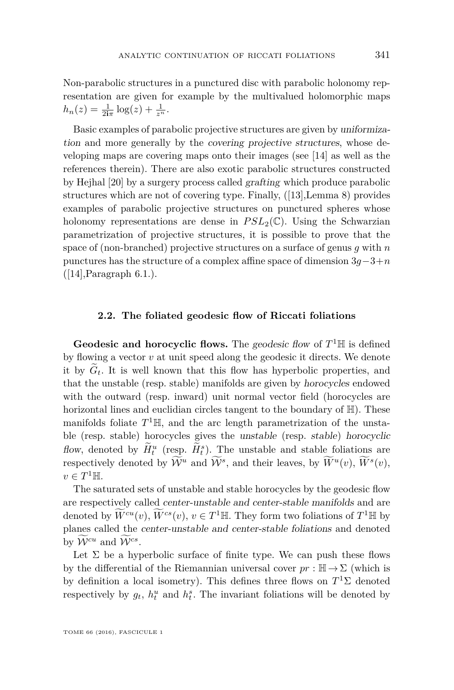Non-parabolic structures in a punctured disc with parabolic holonomy representation are given for example by the multivalued holomorphic maps  $h_n(z) = \frac{1}{2i\pi} \log(z) + \frac{1}{z^n}.$ 

Basic examples of parabolic projective structures are given by uniformization and more generally by the covering projective structures, whose developing maps are covering maps onto their images (see [\[14\]](#page-45-9) as well as the references therein). There are also exotic parabolic structures constructed by Hejhal [\[20\]](#page-45-14) by a surgery process called grafting which produce parabolic structures which are not of covering type. Finally, ([\[13\]](#page-45-6),Lemma 8) provides examples of parabolic projective structures on punctured spheres whose holonomy representations are dense in  $PSL_2(\mathbb{C})$ . Using the Schwarzian parametrization of projective structures, it is possible to prove that the space of (non-branched) projective structures on a surface of genus *g* with *n* punctures has the structure of a complex affine space of dimension 3*g*−3+*n*  $([14],$  $([14],$  $([14],$ Paragraph 6.1. $).$ 

#### **2.2. The foliated geodesic flow of Riccati foliations**

<span id="page-11-0"></span>**Geodesic and horocyclic flows.** The geodesic flow of  $T<sup>1</sup>$  H is defined by flowing a vector *v* at unit speed along the geodesic it directs. We denote it by  $G_t$ . It is well known that this flow has hyperbolic properties, and that the unstable (resp. stable) manifolds are given by horocycles endowed with the outward (resp. inward) unit normal vector field (horocycles are horizontal lines and euclidian circles tangent to the boundary of  $\mathbb{H}$ ). These manifolds foliate  $T^1$ <sup>H</sup>, and the arc length parametrization of the unstable (resp. stable) horocycles gives the unstable (resp. stable) horocyclic flow, denoted by  $H_t^u$  (resp.  $H_t^s$ ). The unstable and stable foliations are respectively denoted by  $\mathcal{W}^u$  and  $\mathcal{W}^s$ , and their leaves, by  $\overline{W}^u(v)$ ,  $\overline{W}^s(v)$ ,  $v \in T^1$ H.

The saturated sets of unstable and stable horocycles by the geodesic flow are respectively called center-unstable and center-stable manifolds and are denoted by  $\widetilde{W}^{cu}(v)$ ,  $\widetilde{W}^{cs}(v)$ ,  $v \in T^1$  H. They form two foliations of  $T^1$  H by planes called the center-unstable and center-stable foliations and denoted by  $\mathcal{W}^{cu}$  and  $\mathcal{W}^{cs}$ .

Let  $\Sigma$  be a hyperbolic surface of finite type. We can push these flows by the differential of the Riemannian universal cover  $pr : \mathbb{H} \to \Sigma$  (which is by definition a local isometry). This defines three flows on  $T<sup>1</sup>\Sigma$  denoted respectively by  $g_t$ ,  $h_t^u$  and  $h_t^s$ . The invariant foliations will be denoted by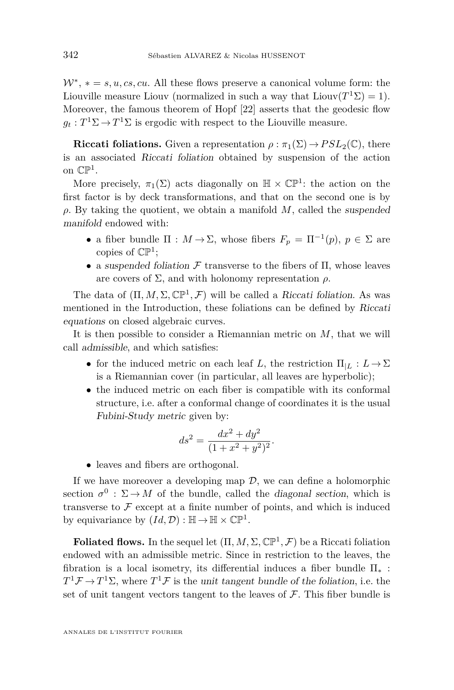$W^*$ ,  $* = s, u, cs, cu$ . All these flows preserve a canonical volume form: the Liouville measure Liouv (normalized in such a way that  $Liouv(T^1\Sigma) = 1$ ). Moreover, the famous theorem of Hopf [\[22\]](#page-45-15) asserts that the geodesic flow  $g_t: T^1\Sigma \to T^1\Sigma$  is ergodic with respect to the Liouville measure.

**Riccati foliations.** Given a representation  $\rho : \pi_1(\Sigma) \to PSL_2(\mathbb{C})$ , there is an associated Riccati foliation obtained by suspension of the action on  $\mathbb{CP}^1$ .

More precisely,  $\pi_1(\Sigma)$  acts diagonally on  $\mathbb{H} \times \mathbb{CP}^1$ : the action on the first factor is by deck transformations, and that on the second one is by *ρ*. By taking the quotient, we obtain a manifold *M*, called the suspended manifold endowed with:

- a fiber bundle  $\Pi : M \to \Sigma$ , whose fibers  $F_p = \Pi^{-1}(p)$ ,  $p \in \Sigma$  are copies of  $\mathbb{CP}^1$ ;
- a suspended foliation  $\mathcal F$  transverse to the fibers of  $\Pi$ , whose leaves are covers of Σ, and with holonomy representation *ρ*.

The data of  $(\Pi, M, \Sigma, \mathbb{CP}^1, \mathcal{F})$  will be called a Riccati foliation. As was mentioned in the Introduction, these foliations can be defined by Riccati equations on closed algebraic curves.

It is then possible to consider a Riemannian metric on *M*, that we will call admissible, and which satisfies:

- for the induced metric on each leaf *L*, the restriction  $\Pi_{|L}: L \to \Sigma$ is a Riemannian cover (in particular, all leaves are hyperbolic);
- the induced metric on each fiber is compatible with its conformal structure, i.e. after a conformal change of coordinates it is the usual Fubini-Study metric given by:

$$
ds^2 = \frac{dx^2 + dy^2}{(1 + x^2 + y^2)^2}.
$$

• leaves and fibers are orthogonal.

If we have moreover a developing map  $\mathcal{D}$ , we can define a holomorphic section  $\sigma^0$ :  $\Sigma \to M$  of the bundle, called the *diagonal section*, which is transverse to  $\mathcal F$  except at a finite number of points, and which is induced by equivariance by  $(Id, \mathcal{D}) : \mathbb{H} \to \mathbb{H} \times \mathbb{CP}^1$ .

**Foliated flows.** In the sequel let  $(\Pi, M, \Sigma, \mathbb{CP}^1, \mathcal{F})$  be a Riccati foliation endowed with an admissible metric. Since in restriction to the leaves, the fibration is a local isometry, its differential induces a fiber bundle  $\Pi_*$ :  $T^1\mathcal{F} \to T^1\Sigma$ , where  $T^1\mathcal{F}$  is the unit tangent bundle of the foliation, i.e. the set of unit tangent vectors tangent to the leaves of  $\mathcal F$ . This fiber bundle is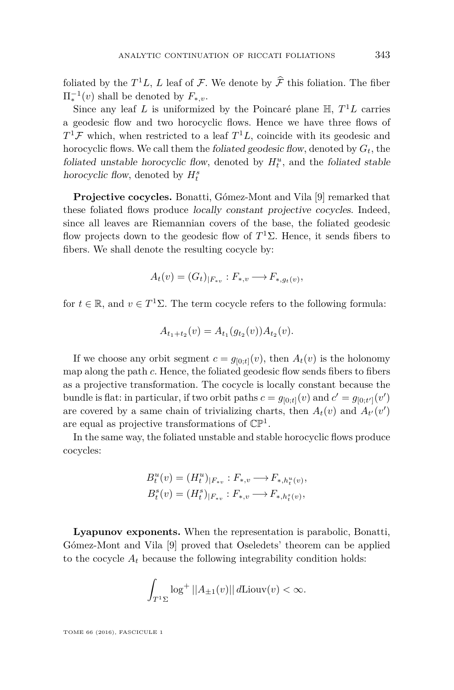foliated by the  $T^1L$ , *L* leaf of *F*. We denote by  $\hat{\mathcal{F}}$  this foliation. The fiber  $\Pi_*^{-1}(v)$  shall be denoted by  $F_{*,v}$ .

Since any leaf *L* is uniformized by the Poincaré plane H, *T* <sup>1</sup>*L* carries a geodesic flow and two horocyclic flows. Hence we have three flows of  $T^1\mathcal{F}$  which, when restricted to a leaf  $T^1L$ , coincide with its geodesic and horocyclic flows. We call them the foliated geodesic flow, denoted by *Gt*, the foliated unstable horocyclic flow, denoted by  $H_t^u$ , and the foliated stable horocyclic flow, denoted by  $H_t^s$ 

Projective cocycles. Bonatti, Gómez-Mont and Vila [\[9\]](#page-44-6) remarked that these foliated flows produce locally constant projective cocycles. Indeed, since all leaves are Riemannian covers of the base, the foliated geodesic flow projects down to the geodesic flow of *T* <sup>1</sup>Σ. Hence, it sends fibers to fibers. We shall denote the resulting cocycle by:

$$
A_t(v) = (G_t)_{|F_{*v}} : F_{*,v} \longrightarrow F_{*,g_t(v)},
$$

for  $t \in \mathbb{R}$ , and  $v \in T^1\Sigma$ . The term cocycle refers to the following formula:

$$
A_{t_1+t_2}(v) = A_{t_1}(g_{t_2}(v))A_{t_2}(v).
$$

If we choose any orbit segment  $c = g_{[0:t]}(v)$ , then  $A_t(v)$  is the holonomy map along the path *c*. Hence, the foliated geodesic flow sends fibers to fibers as a projective transformation. The cocycle is locally constant because the bundle is flat: in particular, if two orbit paths  $c = g_{[0;t]}(v)$  and  $c' = g_{[0;t']}(v')$ are covered by a same chain of trivializing charts, then  $A_t(v)$  and  $A_{t'}(v')$ are equal as projective transformations of  $\mathbb{CP}^1$ .

In the same way, the foliated unstable and stable horocyclic flows produce cocycles:

$$
B_t^u(v) = (H_t^u)_{|F_{*v}} : F_{*,v} \longrightarrow F_{*,h_t^u(v)},
$$
  

$$
B_t^s(v) = (H_t^s)_{|F_{*v}} : F_{*,v} \longrightarrow F_{*,h_t^s(v)},
$$

**Lyapunov exponents.** When the representation is parabolic, Bonatti, Gómez-Mont and Vila [\[9\]](#page-44-6) proved that Oseledets' theorem can be applied to the cocycle  $A_t$  because the following integrability condition holds:

$$
\int_{T^1\Sigma} \log^+ ||A_{\pm 1}(v)|| d \text{Liouv}(v) < \infty.
$$

TOME 66 (2016), FASCICULE 1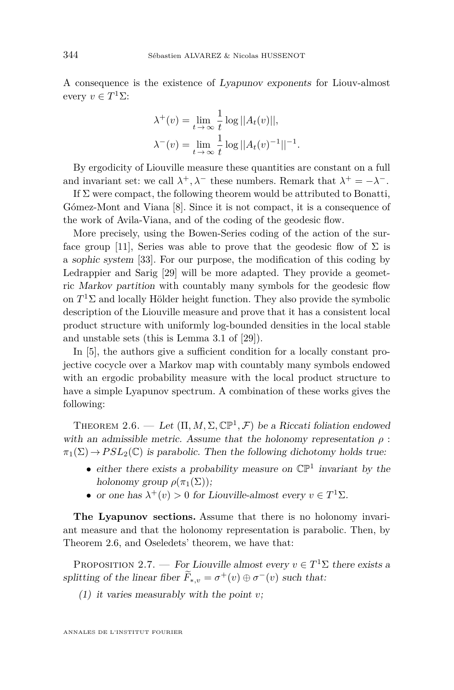A consequence is the existence of Lyapunov exponents for Liouv-almost every  $v \in T^1\Sigma$ :

$$
\lambda^+(v) = \lim_{t \to \infty} \frac{1}{t} \log ||A_t(v)||,
$$
  

$$
\lambda^-(v) = \lim_{t \to \infty} \frac{1}{t} \log ||A_t(v)^{-1}||^{-1}.
$$

By ergodicity of Liouville measure these quantities are constant on a full and invariant set: we call  $\lambda^+, \lambda^-$  these numbers. Remark that  $\lambda^+ = -\lambda^-$ .

If  $\Sigma$  were compact, the following theorem would be attributed to Bonatti, Gómez-Mont and Viana [\[8\]](#page-44-5). Since it is not compact, it is a consequence of the work of Avila-Viana, and of the coding of the geodesic flow.

More precisely, using the Bowen-Series coding of the action of the sur-face group [\[11\]](#page-44-11), Series was able to prove that the geodesic flow of  $\Sigma$  is a sophic system [\[33\]](#page-45-16). For our purpose, the modification of this coding by Ledrappier and Sarig [\[29\]](#page-45-10) will be more adapted. They provide a geometric Markov partition with countably many symbols for the geodesic flow on  $T<sup>1</sup>\Sigma$  and locally Hölder height function. They also provide the symbolic description of the Liouville measure and prove that it has a consistent local product structure with uniformly log-bounded densities in the local stable and unstable sets (this is Lemma 3.1 of [\[29\]](#page-45-10)).

In [\[5\]](#page-44-7), the authors give a sufficient condition for a locally constant projective cocycle over a Markov map with countably many symbols endowed with an ergodic probability measure with the local product structure to have a simple Lyapunov spectrum. A combination of these works gives the following:

<span id="page-14-0"></span>THEOREM 2.6. — Let  $(\Pi, M, \Sigma, \mathbb{CP}^1, \mathcal{F})$  be a Riccati foliation endowed with an admissible metric. Assume that the holonomy representation  $\rho$ :  $\pi_1(\Sigma) \to PSL_2(\mathbb{C})$  is parabolic. Then the following dichotomy holds true:

- either there exists a probability measure on  $\mathbb{CP}^1$  invariant by the holonomy group  $\rho(\pi_1(\Sigma))$ ;
- or one has  $\lambda^+(v) > 0$  for Liouville-almost every  $v \in T^1\Sigma$ .

**The Lyapunov sections.** Assume that there is no holonomy invariant measure and that the holonomy representation is parabolic. Then, by Theorem [2.6,](#page-14-0) and Oseledets' theorem, we have that:

<span id="page-14-1"></span>PROPOSITION 2.7. — For Liouville almost every  $v \in T^1\Sigma$  there exists a splitting of the linear fiber  $\tilde{F}_{*,v} = \sigma^+(v) \oplus \sigma^-(v)$  such that:

(1) it varies measurably with the point *v*;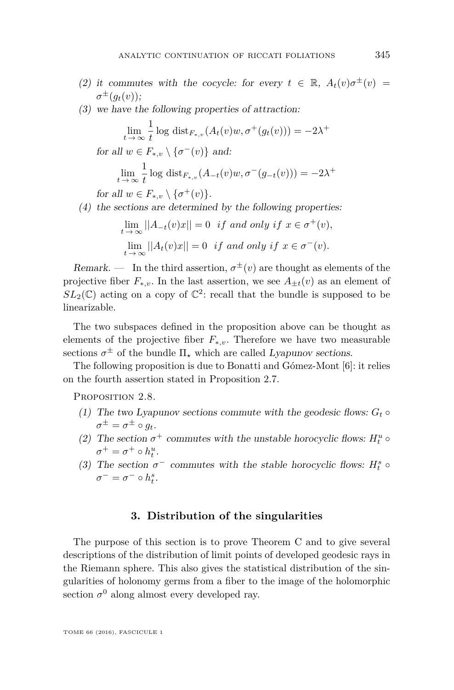- (2) it commutes with the cocycle: for every  $t \in \mathbb{R}$ ,  $A_t(v)\sigma^{\pm}(v)$  =  $\sigma^{\pm}(g_t(v));$
- (3) we have the following properties of attraction:

$$
\lim_{t \to \infty} \frac{1}{t} \log \operatorname{dist}_{F_{*,v}}(A_t(v)w, \sigma^+(g_t(v))) = -2\lambda^+
$$
  
for all  $w \in F_{*,v} \setminus \{\sigma^-(v)\}$  and:  

$$
\lim_{t \to \infty} \frac{1}{t} \log \operatorname{dist}_{F_{*,v}}(A_{-t}(v)w, \sigma^-(g_{-t}(v))) = -2\lambda^+
$$

for all  $w \in F_{*,v} \setminus {\{\sigma^+(v)\}}$ .

(4) the sections are determined by the following properties:

$$
\lim_{t \to \infty} ||A_{-t}(v)x|| = 0 \text{ if and only if } x \in \sigma^+(v),
$$
  

$$
\lim_{t \to \infty} ||A_t(v)x|| = 0 \text{ if and only if } x \in \sigma^-(v).
$$

Remark. — In the third assertion,  $\sigma^{\pm}(v)$  are thought as elements of the projective fiber  $F_{*,v}$ . In the last assertion, we see  $A_{+t}(v)$  as an element of  $SL_2(\mathbb{C})$  acting on a copy of  $\mathbb{C}^2$ : recall that the bundle is supposed to be linearizable.

The two subspaces defined in the proposition above can be thought as elements of the projective fiber  $F_{*,v}$ . Therefore we have two measurable sections  $\sigma^{\pm}$  of the bundle  $\Pi_{\star}$  which are called Lyapunov sections.

The following proposition is due to Bonatti and Gómez-Mont [\[6\]](#page-44-4): it relies on the fourth assertion stated in Proposition [2.7.](#page-14-1)

<span id="page-15-1"></span>PROPOSITION 2.8.

- (1) The two Lyapunov sections commute with the geodesic flows:  $G_t \circ$  $\sigma^{\pm} = \sigma^{\pm} \circ g_t.$
- (2) The section  $\sigma^+$  commutes with the unstable horocyclic flows:  $H_t^u \circ$  $\sigma^+ = \sigma^+ \circ h_t^u$ .
- (3) The section  $\sigma^-$  commutes with the stable horocyclic flows:  $H_t^s \circ$  $\sigma^- = \sigma^- \circ h_t^s$ .

#### **3. Distribution of the singularities**

<span id="page-15-0"></span>The purpose of this section is to prove Theorem [C](#page-7-0) and to give several descriptions of the distribution of limit points of developed geodesic rays in the Riemann sphere. This also gives the statistical distribution of the singularities of holonomy germs from a fiber to the image of the holomorphic section  $\sigma^0$  along almost every developed ray.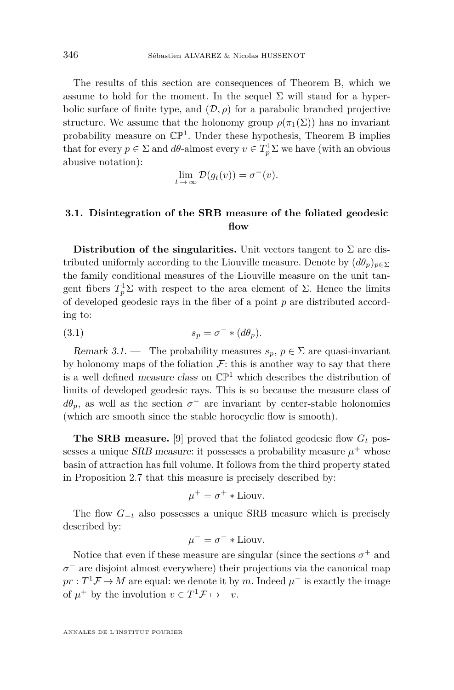The results of this section are consequences of Theorem [B,](#page-6-0) which we assume to hold for the moment. In the sequel  $\Sigma$  will stand for a hyperbolic surface of finite type, and  $(D, \rho)$  for a parabolic branched projective structure. We assume that the holonomy group  $\rho(\pi_1(\Sigma))$  has no invariant probability measure on  $\mathbb{CP}^1$ . Under these hypothesis, Theorem [B](#page-6-0) implies that for every  $p \in \Sigma$  and  $d\theta$ -almost every  $v \in T_p^1 \Sigma$  we have (with an obvious abusive notation):

$$
\lim_{t \to \infty} \mathcal{D}(g_t(v)) = \sigma^-(v).
$$

#### **3.1. Disintegration of the SRB measure of the foliated geodesic flow**

**Distribution of the singularities.** Unit vectors tangent to  $\Sigma$  are distributed uniformly according to the Liouville measure. Denote by  $(d\theta_p)_{p\in\Sigma}$ the family conditional measures of the Liouville measure on the unit tangent fibers  $T_p^1\Sigma$  with respect to the area element of  $\Sigma$ . Hence the limits of developed geodesic rays in the fiber of a point *p* are distributed according to:

<span id="page-16-0"></span>(3.1) 
$$
s_p = \sigma^- * (d\theta_p).
$$

Remark 3.1. — The probability measures  $s_p, p \in \Sigma$  are quasi-invariant by holonomy maps of the foliation  $\mathcal{F}$ : this is another way to say that there is a well defined *measure class* on  $\mathbb{CP}^1$  which describes the distribution of limits of developed geodesic rays. This is so because the measure class of  $d\theta_p$ , as well as the section  $\sigma^-$  are invariant by center-stable holonomies (which are smooth since the stable horocyclic flow is smooth).

**The SRB measure.** [\[9\]](#page-44-6) proved that the foliated geodesic flow  $G_t$  possesses a unique *SRB* measure: it possesses a probability measure  $\mu^+$  whose basin of attraction has full volume. It follows from the third property stated in Proposition [2.7](#page-14-1) that this measure is precisely described by:

$$
\mu^+ = \sigma^+ * \text{Liouv.}
$$

The flow  $G_{-t}$  also possesses a unique SRB measure which is precisely described by:

$$
\mu^- = \sigma^- * \text{Liouv.}
$$

Notice that even if these measure are singular (since the sections  $\sigma^+$  and *σ* <sup>−</sup> are disjoint almost everywhere) their projections via the canonical map  $pr: T<sup>1</sup>F \to M$  are equal: we denote it by *m*. Indeed  $\mu^-$  is exactly the image of  $\mu^+$  by the involution  $v \in T^1 \mathcal{F} \mapsto -v$ .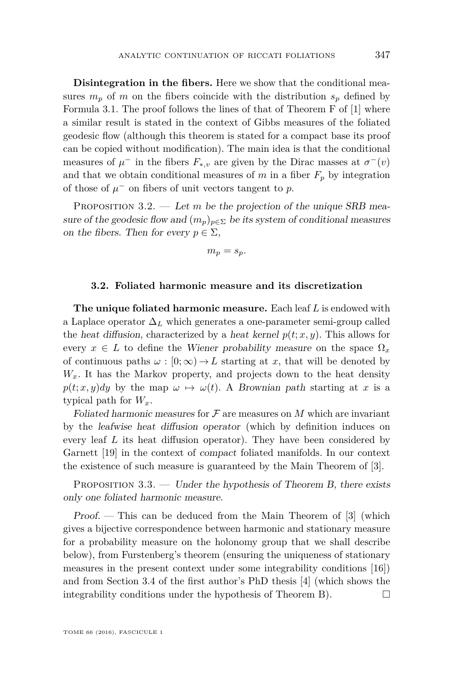**Disintegration in the fibers.** Here we show that the conditional measures  $m_p$  of *m* on the fibers coincide with the distribution  $s_p$  defined by Formula [3.1.](#page-16-0) The proof follows the lines of that of Theorem F of [\[1\]](#page-44-3) where a similar result is stated in the context of Gibbs measures of the foliated geodesic flow (although this theorem is stated for a compact base its proof can be copied without modification). The main idea is that the conditional measures of  $\mu^-$  in the fibers  $F_{*,v}$  are given by the Dirac masses at  $\sigma^-(v)$ and that we obtain conditional measures of  $m$  in a fiber  $F_p$  by integration of those of  $\mu^-$  on fibers of unit vectors tangent to p.

PROPOSITION 3.2. — Let *m* be the projection of the unique SRB measure of the geodesic flow and  $(m_p)_{p \in \Sigma}$  be its system of conditional measures on the fibers. Then for every  $p \in \Sigma$ ,

$$
m_p = s_p.
$$

#### **3.2. Foliated harmonic measure and its discretization**

**The unique foliated harmonic measure.** Each leaf *L* is endowed with a Laplace operator  $\Delta_L$  which generates a one-parameter semi-group called the heat diffusion, characterized by a heat kernel  $p(t; x, y)$ . This allows for every  $x \in L$  to define the Wiener probability measure on the space  $\Omega_x$ of continuous paths  $\omega : [0; \infty) \to L$  starting at *x*, that will be denoted by  $W_x$ . It has the Markov property, and projects down to the heat density  $p(t; x, y)dy$  by the map  $\omega \mapsto \omega(t)$ . A Brownian path starting at *x* is a typical path for  $W_x$ .

Foliated harmonic measures for  $\mathcal F$  are measures on  $M$  which are invariant by the leafwise heat diffusion operator (which by definition induces on every leaf *L* its heat diffusion operator). They have been considered by Garnett [\[19\]](#page-45-12) in the context of compact foliated manifolds. In our context the existence of such measure is guaranteed by the Main Theorem of [\[3\]](#page-44-9).

<span id="page-17-0"></span>PROPOSITION 3.3. — Under the hypothesis of Theorem [B,](#page-6-0) there exists only one foliated harmonic measure.

Proof. — This can be deduced from the Main Theorem of [\[3\]](#page-44-9) (which gives a bijective correspondence between harmonic and stationary measure for a probability measure on the holonomy group that we shall describe below), from Furstenberg's theorem (ensuring the uniqueness of stationary measures in the present context under some integrability conditions [\[16\]](#page-45-17)) and from Section 3.4 of the first author's PhD thesis [\[4\]](#page-44-2) (which shows the integrability conditions under the hypothesis of Theorem [B\)](#page-6-0).  $\Box$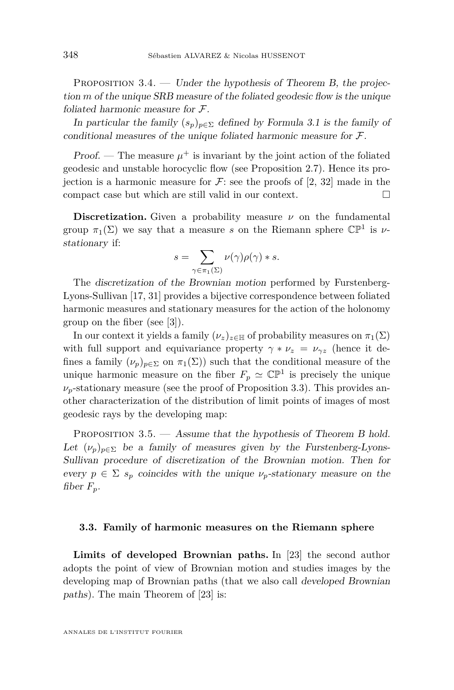PROPOSITION  $3.4.$  — Under the hypothesis of Theorem [B,](#page-6-0) the projection *m* of the unique SRB measure of the foliated geodesic flow is the unique foliated harmonic measure for F.

In particular the family  $(s_p)_{p \in \Sigma}$  defined by Formula [3.1](#page-16-0) is the family of conditional measures of the unique foliated harmonic measure for F.

Proof. — The measure  $\mu^+$  is invariant by the joint action of the foliated geodesic and unstable horocyclic flow (see Proposition [2.7\)](#page-14-1). Hence its projection is a harmonic measure for  $\mathcal{F}$ : see the proofs of [\[2,](#page-44-10) [32\]](#page-45-13) made in the compact case but which are still valid in our context.

**Discretization.** Given a probability measure  $\nu$  on the fundamental group  $\pi_1(\Sigma)$  we say that a measure *s* on the Riemann sphere  $\mathbb{CP}^1$  is *ν*stationary if:

$$
s = \sum_{\gamma \in \pi_1(\Sigma)} \nu(\gamma) \rho(\gamma) * s.
$$

The discretization of the Brownian motion performed by Furstenberg-Lyons-Sullivan [\[17,](#page-45-18) [31\]](#page-45-19) provides a bijective correspondence between foliated harmonic measures and stationary measures for the action of the holonomy group on the fiber (see [\[3\]](#page-44-9)).

In our context it yields a family  $(\nu_z)_{z \in \mathbb{H}}$  of probability measures on  $\pi_1(\Sigma)$ with full support and equivariance property  $\gamma * \nu_z = \nu_{\gamma z}$  (hence it defines a family  $(\nu_n)_{n\in\Sigma}$  on  $\pi_1(\Sigma)$ ) such that the conditional measure of the unique harmonic measure on the fiber  $F_p \simeq \mathbb{CP}^1$  is precisely the unique  $\nu_p$ -stationary measure (see the proof of Proposition [3.3\)](#page-17-0). This provides another characterization of the distribution of limit points of images of most geodesic rays by the developing map:

<span id="page-18-0"></span>PROPOSITION 3.5. — Assume that the hypothesis of Theorem [B](#page-6-0) hold. Let  $(\nu_p)_{p \in \Sigma}$  be a family of measures given by the Furstenberg-Lyons-Sullivan procedure of discretization of the Brownian motion. Then for every  $p \in \Sigma$  *s<sub>p</sub>* coincides with the unique  $\nu_p$ -stationary measure on the fiber  $F_p$ .

#### **3.3. Family of harmonic measures on the Riemann sphere**

**Limits of developed Brownian paths.** In [\[23\]](#page-45-7) the second author adopts the point of view of Brownian motion and studies images by the developing map of Brownian paths (that we also call developed Brownian paths). The main Theorem of [\[23\]](#page-45-7) is: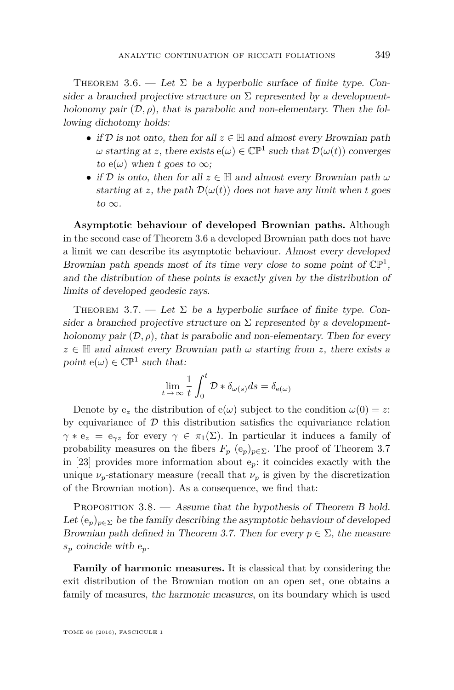<span id="page-19-0"></span>THEOREM 3.6. — Let  $\Sigma$  be a hyperbolic surface of finite type. Consider a branched projective structure on  $\Sigma$  represented by a developmentholonomy pair  $(D, \rho)$ , that is parabolic and non-elementary. Then the following dichotomy holds:

- if  $D$  is not onto, then for all  $z \in \mathbb{H}$  and almost every Brownian path  $\omega$  starting at *z*, there exists  $e(\omega) \in \mathbb{CP}^1$  such that  $\mathcal{D}(\omega(t))$  converges to  $e(\omega)$  when *t* goes to  $\infty$ ;
- if D is onto, then for all  $z \in \mathbb{H}$  and almost every Brownian path  $\omega$ starting at *z*, the path  $\mathcal{D}(\omega(t))$  does not have any limit when *t* goes to  $\infty$ .

**Asymptotic behaviour of developed Brownian paths.** Although in the second case of Theorem [3.6](#page-19-0) a developed Brownian path does not have a limit we can describe its asymptotic behaviour. Almost every developed Brownian path spends most of its time very close to some point of  $\mathbb{CP}^1$ , and the distribution of these points is exactly given by the distribution of limits of developed geodesic rays.

<span id="page-19-1"></span>THEOREM 3.7. — Let  $\Sigma$  be a hyperbolic surface of finite type. Consider a branched projective structure on  $\Sigma$  represented by a developmentholonomy pair  $(\mathcal{D}, \rho)$ , that is parabolic and non-elementary. Then for every  $z \in \mathbb{H}$  and almost every Brownian path  $\omega$  starting from *z*, there exists a point  $e(\omega) \in \mathbb{CP}^1$  such that:

$$
\lim_{t \to \infty} \frac{1}{t} \int_0^t \mathcal{D} * \delta_{\omega(s)} ds = \delta_{e(\omega)}
$$

Denote by  $e_z$  the distribution of  $e(\omega)$  subject to the condition  $\omega(0) = z$ : by equivariance of  $D$  this distribution satisfies the equivariance relation  $\gamma * e_z = e_{\gamma z}$  for every  $\gamma \in \pi_1(\Sigma)$ . In particular it induces a family of probability measures on the fibers  $F_p$  ( $e_p$ )<sub> $p \in \Sigma$ </sub>. The proof of Theorem [3.7](#page-19-1) in [\[23\]](#page-45-7) provides more information about  $e_p$ : it coincides exactly with the unique  $\nu_p$ -stationary measure (recall that  $\nu_p$  is given by the discretization of the Brownian motion). As a consequence, we find that:

PROPOSITION 3.8. — Assume that the hypothesis of Theorem [B](#page-6-0) hold. Let  $(e_p)_{p \in \Sigma}$  be the family describing the asymptotic behaviour of developed Brownian path defined in Theorem [3.7.](#page-19-1) Then for every  $p \in \Sigma$ , the measure *s<sup>p</sup>* coincide with e*p*.

**Family of harmonic measures.** It is classical that by considering the exit distribution of the Brownian motion on an open set, one obtains a family of measures, the harmonic measures, on its boundary which is used

TOME 66 (2016), FASCICULE 1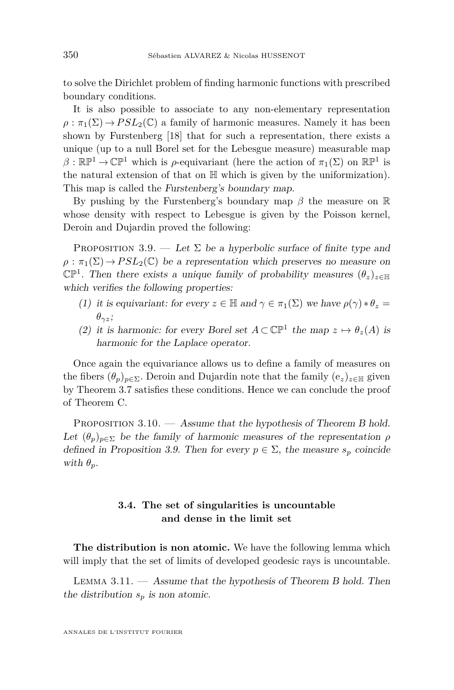to solve the Dirichlet problem of finding harmonic functions with prescribed boundary conditions.

It is also possible to associate to any non-elementary representation  $\rho : \pi_1(\Sigma) \to PSL_2(\mathbb{C})$  a family of harmonic measures. Namely it has been shown by Furstenberg [\[18\]](#page-45-20) that for such a representation, there exists a unique (up to a null Borel set for the Lebesgue measure) measurable map  $\beta : \mathbb{RP}^1 \to \mathbb{CP}^1$  which is  $\rho$ -equivariant (here the action of  $\pi_1(\Sigma)$ ) on  $\mathbb{RP}^1$  is the natural extension of that on  $\mathbb{H}$  which is given by the uniformization). This map is called the Furstenberg's boundary map.

By pushing by the Furstenberg's boundary map *β* the measure on R whose density with respect to Lebesgue is given by the Poisson kernel, Deroin and Dujardin proved the following:

<span id="page-20-0"></span>PROPOSITION 3.9. — Let  $\Sigma$  be a hyperbolic surface of finite type and  $\rho : \pi_1(\Sigma) \to PSL_2(\mathbb{C})$  be a representation which preserves no measure on  $\mathbb{CP}^1$ . Then there exists a unique family of probability measures  $(\theta_z)_{z \in \mathbb{H}}$ which verifies the following properties:

- (1) it is equivariant: for every  $z \in \mathbb{H}$  and  $\gamma \in \pi_1(\Sigma)$  we have  $\rho(\gamma) * \theta_z =$ *θγz*;
- (2) it is harmonic: for every Borel set  $A \subset \mathbb{CP}^1$  the map  $z \mapsto \theta_z(A)$  is harmonic for the Laplace operator.

Once again the equivariance allows us to define a family of measures on the fibers  $(\theta_p)_{p \in \Sigma}$ . Deroin and Dujardin note that the family  $(e_z)_{z \in \mathbb{H}}$  given by Theorem [3.7](#page-19-1) satisfies these conditions. Hence we can conclude the proof of Theorem [C.](#page-7-0)

PROPOSITION 3.10. — Assume that the hypothesis of Theorem [B](#page-6-0) hold. Let  $(\theta_p)_{p \in \Sigma}$  be the family of harmonic measures of the representation  $\rho$ defined in Proposition [3.9.](#page-20-0) Then for every  $p \in \Sigma$ , the measure  $s_p$  coincide with  $\theta_p$ .

#### **3.4. The set of singularities is uncountable and dense in the limit set**

**The distribution is non atomic.** We have the following lemma which will imply that the set of limits of developed geodesic rays is uncountable.

<span id="page-20-1"></span>LEMMA  $3.11.$   $-$  Assume that the hypothesis of Theorem [B](#page-6-0) hold. Then the distribution  $s_p$  is non atomic.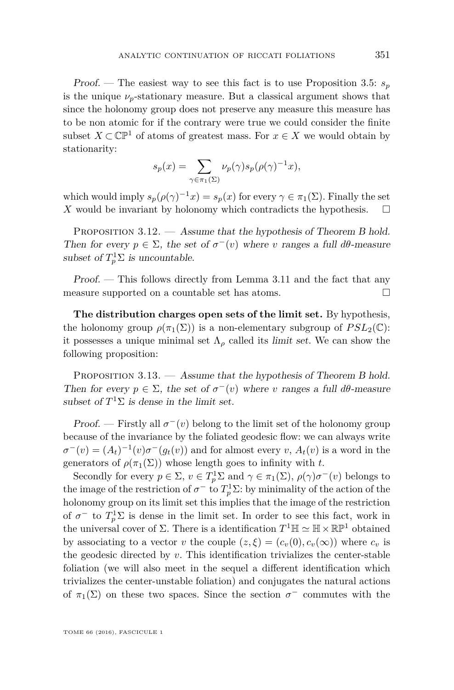Proof. — The easiest way to see this fact is to use Proposition [3.5:](#page-18-0)  $s_p$ is the unique  $\nu_p$ -stationary measure. But a classical argument shows that since the holonomy group does not preserve any measure this measure has to be non atomic for if the contrary were true we could consider the finite subset  $X \subset \mathbb{CP}^1$  of atoms of greatest mass. For  $x \in X$  we would obtain by stationarity:

$$
s_p(x)=\sum_{\gamma\in\pi_1(\Sigma)}\nu_p(\gamma)s_p(\rho(\gamma)^{-1}x),
$$

which would imply  $s_p(\rho(\gamma)^{-1}x) = s_p(x)$  for every  $\gamma \in \pi_1(\Sigma)$ . Finally the set *X* would be invariant by holonomy which contradicts the hypothesis.

PROPOSITION 3.12. — Assume that the hypothesis of Theorem [B](#page-6-0) hold. Then for every  $p \in \Sigma$ , the set of  $\sigma^-(v)$  where *v* ranges a full  $d\theta$ -measure subset of  $T_p^1 \Sigma$  is uncountable.

Proof. — This follows directly from Lemma [3.11](#page-20-1) and the fact that any measure supported on a countable set has atoms.

**The distribution charges open sets of the limit set.** By hypothesis, the holonomy group  $\rho(\pi_1(\Sigma))$  is a non-elementary subgroup of  $PSL_2(\mathbb{C})$ : it possesses a unique minimal set  $\Lambda_{\rho}$  called its *limit set*. We can show the following proposition:

PROPOSITION  $3.13.$  — Assume that the hypothesis of Theorem [B](#page-6-0) hold. Then for every  $p \in \Sigma$ , the set of  $\sigma^-(v)$  where *v* ranges a full  $d\theta$ -measure subset of  $T^1\Sigma$  is dense in the limit set.

Proof. — Firstly all  $\sigma^-(v)$  belong to the limit set of the holonomy group because of the invariance by the foliated geodesic flow: we can always write  $\sigma^-(v) = (A_t)^{-1}(v)\sigma^-(g_t(v))$  and for almost every *v*,  $A_t(v)$  is a word in the generators of  $\rho(\pi_1(\Sigma))$  whose length goes to infinity with t.

Secondly for every  $p \in \Sigma$ ,  $v \in T_p^1\Sigma$  and  $\gamma \in \pi_1(\Sigma)$ ,  $\rho(\gamma)\sigma^-(v)$  belongs to the image of the restriction of  $\sigma^-$  to  $T_p^1\Sigma$ : by minimality of the action of the holonomy group on its limit set this implies that the image of the restriction of  $\sigma^-$  to  $T_p^1\Sigma$  is dense in the limit set. In order to see this fact, work in the universal cover of  $\Sigma$ . There is a identification  $T^1 \mathbb{H} \simeq \mathbb{H} \times \mathbb{RP}^1$  obtained by associating to a vector *v* the couple  $(z, \xi) = (c_v(0), c_v(\infty))$  where  $c_v$  is the geodesic directed by *v*. This identification trivializes the center-stable foliation (we will also meet in the sequel a different identification which trivializes the center-unstable foliation) and conjugates the natural actions of  $\pi_1(\Sigma)$  on these two spaces. Since the section  $\sigma^-$  commutes with the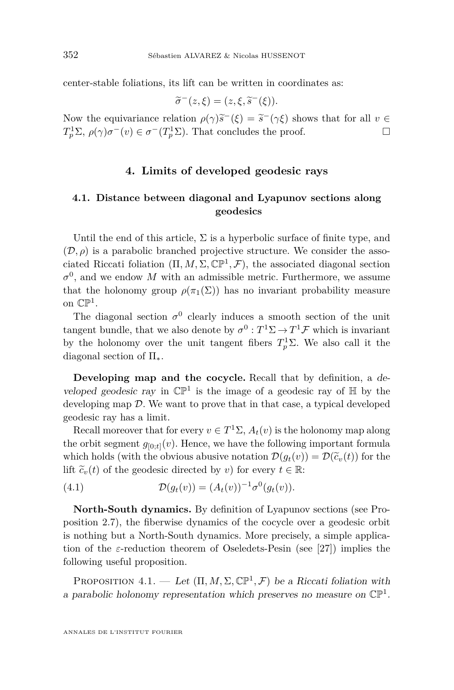center-stable foliations, its lift can be written in coordinates as:

$$
\widetilde{\sigma}^-(z,\xi)=(z,\xi,\widetilde{s}^-(\xi)).
$$

Now the equivariance relation  $\rho(\gamma)\tilde{s}^{-}(\xi) = \tilde{s}^{-}(\gamma\xi)$  shows that for all  $v \in T^{1}\Sigma$ ,  $\rho(\gamma)\sigma^{-}(\omega) \in \tau^{-}(T^{1}\Sigma)$ . That concludes the proof  $T_p^1 \Sigma$ ,  $\rho(\gamma) \sigma^-(v) \in \sigma^-(T_p^1 \Sigma)$ . That concludes the proof.

#### **4. Limits of developed geodesic rays**

#### <span id="page-22-0"></span>**4.1. Distance between diagonal and Lyapunov sections along geodesics**

Until the end of this article,  $\Sigma$  is a hyperbolic surface of finite type, and  $(\mathcal{D}, \rho)$  is a parabolic branched projective structure. We consider the associated Riccati foliation  $(\Pi, M, \Sigma, \mathbb{CP}^1, \mathcal{F})$ , the associated diagonal section  $\sigma^0$ , and we endow *M* with an admissible metric. Furthermore, we assume that the holonomy group  $\rho(\pi_1(\Sigma))$  has no invariant probability measure on  $\mathbb{CP}^1$ .

The diagonal section  $\sigma^0$  clearly induces a smooth section of the unit tangent bundle, that we also denote by  $\sigma^0: T^1\Sigma \to T^1\mathcal{F}$  which is invariant by the holonomy over the unit tangent fibers  $T_p^1\Sigma$ . We also call it the diagonal section of  $\Pi_*$ .

**Developing map and the cocycle.** Recall that by definition, a developed geodesic ray in  $\mathbb{CP}^1$  is the image of a geodesic ray of  $\mathbb H$  by the developing map  $D$ . We want to prove that in that case, a typical developed geodesic ray has a limit.

Recall moreover that for every  $v \in T^1\Sigma$ ,  $A_t(v)$  is the holonomy map along the orbit segment  $g_{[0:t]}(v)$ . Hence, we have the following important formula which holds (with the obvious abusive notation  $\mathcal{D}(q_t(v)) = \mathcal{D}(\widetilde{c}_v(t))$  for the lift  $\tilde{c}_v(t)$  of the geodesic directed by *v*) for every  $t \in \mathbb{R}$ :

<span id="page-22-1"></span>(4.1) 
$$
\mathcal{D}(g_t(v)) = (A_t(v))^{-1} \sigma^0(g_t(v)).
$$

**North-South dynamics.** By definition of Lyapunov sections (see Proposition [2.7\)](#page-14-1), the fiberwise dynamics of the cocycle over a geodesic orbit is nothing but a North-South dynamics. More precisely, a simple application of the *ε*-reduction theorem of Oseledets-Pesin (see [\[27\]](#page-45-21)) implies the following useful proposition.

<span id="page-22-2"></span>PROPOSITION  $4.1.$  — Let  $(\Pi, M, \Sigma, \mathbb{CP}^1, \mathcal{F})$  be a Riccati foliation with a parabolic holonomy representation which preserves no measure on  $\mathbb{CP}^1$ .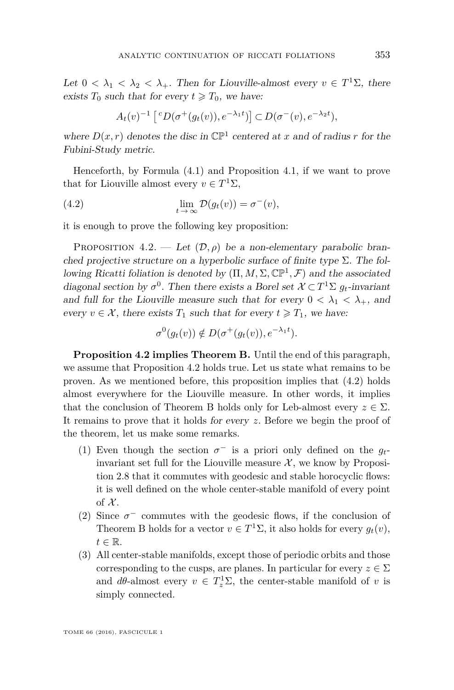Let  $0 < \lambda_1 < \lambda_2 < \lambda_+$ . Then for Liouville-almost every  $v \in T^1\Sigma$ , there exists  $T_0$  such that for every  $t \geq T_0$ , we have:

<span id="page-23-1"></span>
$$
A_t(v)^{-1}\left[{}^{c}D(\sigma^+(g_t(v)),e^{-\lambda_1t})\right] \subset D(\sigma^-(v),e^{-\lambda_2t}),
$$

where  $D(x, r)$  denotes the disc in  $\mathbb{CP}^1$  centered at *x* and of radius *r* for the Fubini-Study metric.

Henceforth, by Formula [\(4.1\)](#page-22-1) and Proposition [4.1,](#page-22-2) if we want to prove that for Liouville almost every  $v \in T^1\Sigma$ ,

(4.2) 
$$
\lim_{t \to \infty} \mathcal{D}(g_t(v)) = \sigma^-(v),
$$

it is enough to prove the following key proposition:

<span id="page-23-0"></span>PROPOSITION  $4.2.$  — Let  $(\mathcal{D}, \rho)$  be a non-elementary parabolic branched projective structure on a hyperbolic surface of finite type  $\Sigma$ . The following Ricatti foliation is denoted by  $(\Pi, M, \Sigma, \mathbb{CP}^1, \mathcal{F})$  and the associated diagonal section by  $\sigma^0$ . Then there exists a Borel set  $\mathcal{X} \subset T^1\Sigma$   $g_t$ -invariant and full for the Liouville measure such that for every  $0 < \lambda_1 < \lambda_+$ , and every  $v \in \mathcal{X}$ , there exists  $T_1$  such that for every  $t \geq T_1$ , we have:

$$
\sigma^0(g_t(v)) \notin D(\sigma^+(g_t(v)), e^{-\lambda_1 t}).
$$

**Proposition [4.2](#page-23-0) implies Theorem [B.](#page-6-0)** Until the end of this paragraph, we assume that Proposition [4.2](#page-23-0) holds true. Let us state what remains to be proven. As we mentioned before, this proposition implies that [\(4.2\)](#page-23-1) holds almost everywhere for the Liouville measure. In other words, it implies that the conclusion of Theorem [B](#page-6-0) holds only for Leb-almost every  $z \in \Sigma$ . It remains to prove that it holds for every *z*. Before we begin the proof of the theorem, let us make some remarks.

- (1) Even though the section  $\sigma^-$  is a priori only defined on the  $g_t$ invariant set full for the Liouville measure  $\mathcal{X}$ , we know by Proposition [2.8](#page-15-1) that it commutes with geodesic and stable horocyclic flows: it is well defined on the whole center-stable manifold of every point of  $\mathcal{X}$ .
- (2) Since  $\sigma^-$  commutes with the geodesic flows, if the conclusion of Theorem [B](#page-6-0) holds for a vector  $v \in T^1\Sigma$ , it also holds for every  $g_t(v)$ ,  $t \in \mathbb{R}$ .
- (3) All center-stable manifolds, except those of periodic orbits and those corresponding to the cusps, are planes. In particular for every  $z \in \Sigma$ and  $d\theta$ -almost every  $v \in T_z^1\Sigma$ , the center-stable manifold of *v* is simply connected.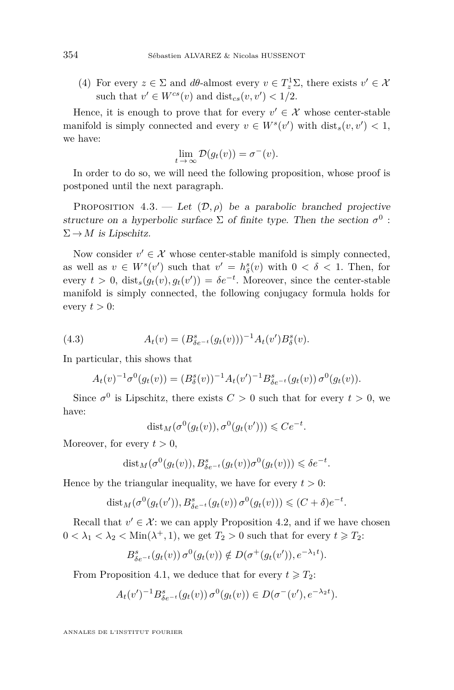(4) For every  $z \in \Sigma$  and  $d\theta$ -almost every  $v \in T_z^1 \Sigma$ , there exists  $v' \in \mathcal{X}$ such that  $v' \in W^{cs}(v)$  and  $dist_{cs}(v, v') < 1/2$ .

Hence, it is enough to prove that for every  $v' \in \mathcal{X}$  whose center-stable manifold is simply connected and every  $v \in W^s(v')$  with  $dist_s(v, v') < 1$ , we have:

$$
\lim_{t \to \infty} \mathcal{D}(g_t(v)) = \sigma^-(v).
$$

In order to do so, we will need the following proposition, whose proof is postponed until the next paragraph.

<span id="page-24-0"></span>PROPOSITION 4.3. — Let  $(\mathcal{D}, \rho)$  be a parabolic branched projective structure on a hyperbolic surface  $\Sigma$  of finite type. Then the section  $\sigma^0$ :  $\Sigma \rightarrow M$  is Lipschitz.

Now consider  $v' \in \mathcal{X}$  whose center-stable manifold is simply connected, as well as  $v \in W^s(v')$  such that  $v' = h^s_{\delta}(v)$  with  $0 < \delta < 1$ . Then, for every  $t > 0$ ,  $dist_s(g_t(v), g_t(v')) = \delta e^{-t}$ . Moreover, since the center-stable manifold is simply connected, the following conjugacy formula holds for every  $t > 0$ :

(4.3) 
$$
A_t(v) = (B_{\delta e^{-t}}^s(g_t(v)))^{-1} A_t(v') B_{\delta}^s(v).
$$

In particular, this shows that

$$
A_t(v)^{-1} \sigma^0(g_t(v)) = (B_\delta^s(v))^{-1} A_t(v')^{-1} B_{\delta e^{-t}}^s(g_t(v)) \sigma^0(g_t(v)).
$$

Since  $\sigma^0$  is Lipschitz, there exists  $C > 0$  such that for every  $t > 0$ , we have:

$$
dist_M(\sigma^0(g_t(v)), \sigma^0(g_t(v'))) \leq Ce^{-t}.
$$

Moreover, for every  $t > 0$ ,

$$
dist_M(\sigma^0(g_t(v)), B^s_{\delta e^{-t}}(g_t(v))\sigma^0(g_t(v))) \leq \delta e^{-t}.
$$

Hence by the triangular inequality, we have for every  $t > 0$ :

$$
\text{dist}_M(\sigma^0(g_t(v')), B^s_{\delta e^{-t}}(g_t(v))\sigma^0(g_t(v))) \leq (C+\delta)e^{-t}.
$$

Recall that  $v' \in \mathcal{X}$ : we can apply Proposition [4.2,](#page-23-0) and if we have chosen  $0 < \lambda_1 < \lambda_2 < \text{Min}(\lambda^+, 1)$ , we get  $T_2 > 0$  such that for every  $t \geq T_2$ .

$$
B_{\delta e^{-t}}^s(g_t(v))\,\sigma^0(g_t(v))\notin D(\sigma^+(g_t(v')),e^{-\lambda_1t}).
$$

From Proposition [4.1,](#page-22-2) we deduce that for every  $t \geq T_2$ :

$$
A_t(v')^{-1} B_{\delta e^{-t}}^s(g_t(v)) \sigma^0(g_t(v)) \in D(\sigma^-(v'), e^{-\lambda_2 t}).
$$

ANNALES DE L'INSTITUT FOURIER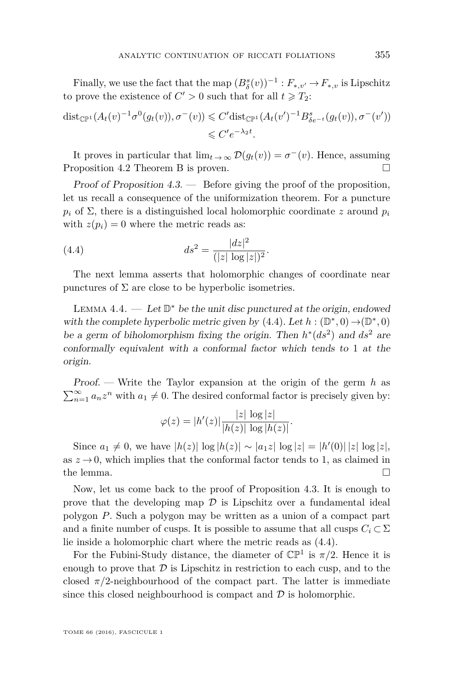Finally, we use the fact that the map  $(B^s_{\delta}(v))^{-1}: F_{*,v'} \to F_{*,v}$  is Lipschitz to prove the existence of  $C' > 0$  such that for all  $t \ge T_2$ :

$$
\operatorname{dist}_{\mathbb{CP}^1}(A_t(v)^{-1}\sigma^0(g_t(v)), \sigma^-(v)) \leq C' \operatorname{dist}_{\mathbb{CP}^1}(A_t(v')^{-1}B_{\delta e^{-t}}^s(g_t(v)), \sigma^-(v'))
$$
  

$$
\leq C'e^{-\lambda_2 t}.
$$

It proves in particular that  $\lim_{t \to \infty} \mathcal{D}(g_t(v)) = \sigma^-(v)$ . Hence, assuming Proposition [4.2](#page-23-0) Theorem [B](#page-6-0) is proven.

Proof of Proposition [4.3.](#page-24-0) — Before giving the proof of the proposition, let us recall a consequence of the uniformization theorem. For a puncture  $p_i$  of  $\Sigma$ , there is a distinguished local holomorphic coordinate *z* around  $p_i$ with  $z(p_i) = 0$  where the metric reads as:

<span id="page-25-0"></span>(4.4) 
$$
ds^2 = \frac{|dz|^2}{(|z|\log|z|)^2}.
$$

The next lemma asserts that holomorphic changes of coordinate near punctures of  $\Sigma$  are close to be hyperbolic isometries.

<span id="page-25-1"></span>LEMMA  $4.4.$  — Let  $\mathbb{D}^*$  be the unit disc punctured at the origin, endowed with the complete hyperbolic metric given by  $(4.4)$ . Let  $h : (\mathbb{D}^*, 0) \rightarrow (\mathbb{D}^*, 0)$ be a germ of biholomorphism fixing the origin. Then  $h^*(ds^2)$  and  $ds^2$  are conformally equivalent with a conformal factor which tends to 1 at the origin.

Proof. — Write the Taylor expansion at the origin of the germ *h* as  $\sum_{n=1}^{\infty} a_n z^n$  with  $a_1 \neq 0$ . The desired conformal factor is precisely given by:

$$
\varphi(z) = |h'(z)| \frac{|z| \, \log|z|}{|h(z)| \, \log|h(z)|}.
$$

Since  $a_1 \neq 0$ , we have  $|h(z)| \log |h(z)| \sim |a_1 z| \log |z| = |h'(0)| |z| \log |z|$ , as  $z \to 0$ , which implies that the conformal factor tends to 1, as claimed in the lemma.  $\Box$ 

Now, let us come back to the proof of Proposition [4.3.](#page-24-0) It is enough to prove that the developing map  $\mathcal D$  is Lipschitz over a fundamental ideal polygon *P*. Such a polygon may be written as a union of a compact part and a finite number of cusps. It is possible to assume that all cusps  $C_i \subset \Sigma$ lie inside a holomorphic chart where the metric reads as [\(4.4\)](#page-25-0).

For the Fubini-Study distance, the diameter of  $\mathbb{CP}^1$  is  $\pi/2$ . Hence it is enough to prove that  $D$  is Lipschitz in restriction to each cusp, and to the closed  $\pi/2$ -neighbourhood of the compact part. The latter is immediate since this closed neighbourhood is compact and  $D$  is holomorphic.

TOME 66 (2016), FASCICULE 1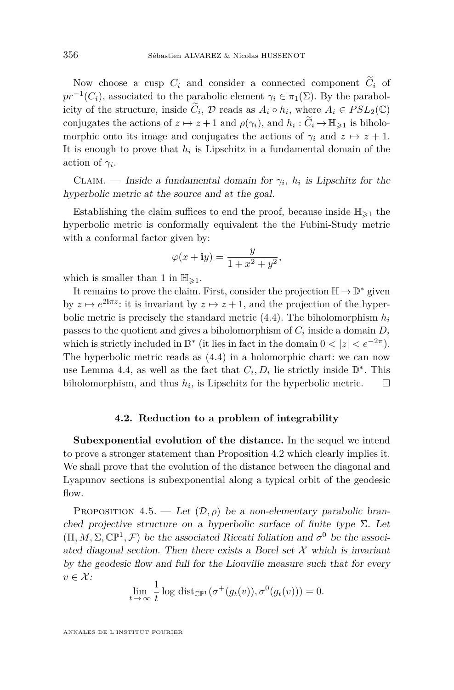Now choose a cusp  $C_i$  and consider a connected component  $\widetilde{C}_i$  of  $pr^{-1}(C_i)$ , associated to the parabolic element  $\gamma_i \in \pi_1(\Sigma)$ . By the parabolicity of the structure, inside  $\tilde{C}_i$ ,  $\mathcal{D}$  reads as  $A_i \circ h_i$ , where  $A_i \in PSL_2(\mathbb{C})$ conjugates the actions of  $z \mapsto z+1$  and  $\rho(\gamma_i)$ , and  $h_i : \widetilde{C}_i \to \mathbb{H}_{\geq 1}$  is biholomorphic onto its image and conjugates the actions of  $\gamma_i$  and  $z \mapsto z + 1$ . It is enough to prove that  $h_i$  is Lipschitz in a fundamental domain of the action of  $\gamma_i$ .

CLAIM. — Inside a fundamental domain for  $\gamma_i$ ,  $h_i$  is Lipschitz for the hyperbolic metric at the source and at the goal.

Establishing the claim suffices to end the proof, because inside  $\mathbb{H}_{\geq 1}$  the hyperbolic metric is conformally equivalent the the Fubini-Study metric with a conformal factor given by:

$$
\varphi(x + \mathbf{i}y) = \frac{y}{1 + x^2 + y^2},
$$

which is smaller than 1 in  $\mathbb{H}_{\geq 1}$ .

It remains to prove the claim. First, consider the projection  $\mathbb{H} \to \mathbb{D}^*$  given by  $z \mapsto e^{2i\pi z}$ : it is invariant by  $z \mapsto z+1$ , and the projection of the hyperbolic metric is precisely the standard metric  $(4.4)$ . The biholomorphism  $h_i$ passes to the quotient and gives a biholomorphism of  $C_i$  inside a domain  $D_i$ which is strictly included in  $\mathbb{D}^*$  (it lies in fact in the domain  $0 < |z| < e^{-2\pi}$ ). The hyperbolic metric reads as [\(4.4\)](#page-25-0) in a holomorphic chart: we can now use Lemma [4.4,](#page-25-1) as well as the fact that  $C_i, D_i$  lie strictly inside  $\mathbb{D}^*$ . This biholomorphism, and thus  $h_i$ , is Lipschitz for the hyperbolic metric.  $\Box$ 

#### **4.2. Reduction to a problem of integrability**

**Subexponential evolution of the distance.** In the sequel we intend to prove a stronger statement than Proposition [4.2](#page-23-0) which clearly implies it. We shall prove that the evolution of the distance between the diagonal and Lyapunov sections is subexponential along a typical orbit of the geodesic flow.

<span id="page-26-0"></span>PROPOSITION 4.5. — Let  $(\mathcal{D}, \rho)$  be a non-elementary parabolic branched projective structure on a hyperbolic surface of finite type  $\Sigma$ . Let  $(\Pi, M, \Sigma, \mathbb{CP}^1, \mathcal{F})$  be the associated Riccati foliation and  $\sigma^0$  be the associated diagonal section. Then there exists a Borel set  $\mathcal X$  which is invariant by the geodesic flow and full for the Liouville measure such that for every  $v \in \mathcal{X}$ :

$$
\lim_{t \to \infty} \frac{1}{t} \log \text{dist}_{\mathbb{CP}^1}(\sigma^+(g_t(v)), \sigma^0(g_t(v))) = 0.
$$

ANNALES DE L'INSTITUT FOURIER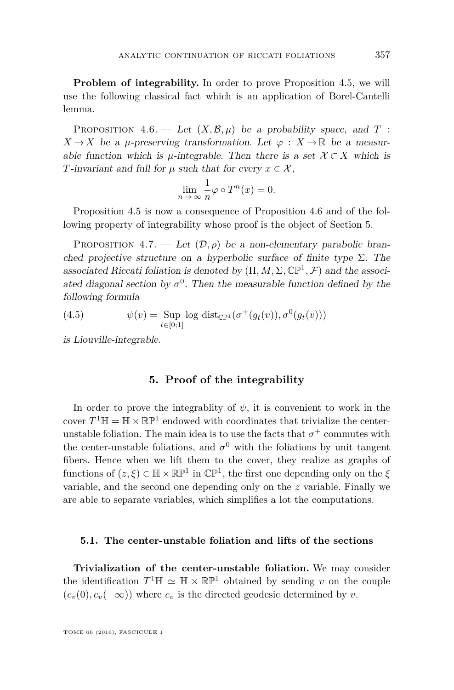**Problem of integrability.** In order to prove Proposition [4.5,](#page-26-0) we will use the following classical fact which is an application of Borel-Cantelli lemma.

<span id="page-27-1"></span>PROPOSITION 4.6. — Let  $(X, \mathcal{B}, \mu)$  be a probability space, and  $T$ :  $X \to X$  be a *µ*-preserving transformation. Let  $\varphi : X \to \mathbb{R}$  be a measurable function which is *µ*-integrable. Then there is a set  $\mathcal{X} \subset X$  which is *T*-invariant and full for  $\mu$  such that for every  $x \in \mathcal{X}$ ,

$$
\lim_{n \to \infty} \frac{1}{n} \varphi \circ T^n(x) = 0.
$$

Proposition [4.5](#page-26-0) is now a consequence of Proposition [4.6](#page-27-1) and of the following property of integrability whose proof is the object of Section [5.](#page-27-0)

<span id="page-27-2"></span>PROPOSITION 4.7. — Let  $(\mathcal{D}, \rho)$  be a non-elementary parabolic branched projective structure on a hyperbolic surface of finite type  $\Sigma$ . The associated Riccati foliation is denoted by  $(\Pi, M, \Sigma, \mathbb{CP}^1, \mathcal{F})$  and the associated diagonal section by  $\sigma^0$ . Then the measurable function defined by the following formula

(4.5) 
$$
\psi(v) = \sup_{t \in [0;1]} \log \text{dist}_{\mathbb{CP}^1}(\sigma^+(g_t(v)), \sigma^0(g_t(v)))
$$

is Liouville-integrable.

#### **5. Proof of the integrability**

<span id="page-27-0"></span>In order to prove the integrablity of  $\psi$ , it is convenient to work in the cover  $T^1\mathbb{H} = \mathbb{H} \times \mathbb{RP}^1$  endowed with coordinates that trivialize the centerunstable foliation. The main idea is to use the facts that  $\sigma^+$  commutes with the center-unstable foliations, and  $\sigma^0$  with the foliations by unit tangent fibers. Hence when we lift them to the cover, they realize as graphs of functions of  $(z, \xi) \in \mathbb{H} \times \mathbb{RP}^1$  in  $\mathbb{CP}^1$ , the first one depending only on the  $\xi$ variable, and the second one depending only on the *z* variable. Finally we are able to separate variables, which simplifies a lot the computations.

#### **5.1. The center-unstable foliation and lifts of the sections**

**Trivialization of the center-unstable foliation.** We may consider the identification  $T^1 \mathbb{H} \simeq \mathbb{H} \times \mathbb{RP}^1$  obtained by sending *v* on the couple  $(c_v(0), c_v(-\infty))$  where  $c_v$  is the directed geodesic determined by *v*.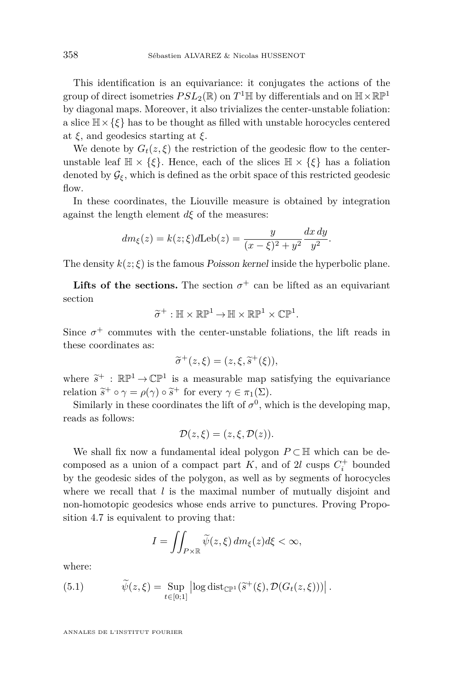This identification is an equivariance: it conjugates the actions of the group of direct isometries  $PSL_2(\mathbb{R})$  on  $T^1\mathbb{H}$  by differentials and on  $\mathbb{H} \times \mathbb{RP}^1$ by diagonal maps. Moreover, it also trivializes the center-unstable foliation: a slice  $\mathbb{H}\times\{\xi\}$  has to be thought as filled with unstable horocycles centered at *ξ*, and geodesics starting at *ξ*.

We denote by  $G_t(z,\xi)$  the restriction of the geodesic flow to the centerunstable leaf  $\mathbb{H} \times \{\xi\}$ . Hence, each of the slices  $\mathbb{H} \times \{\xi\}$  has a foliation denoted by  $\mathcal{G}_{\xi}$ , which is defined as the orbit space of this restricted geodesic flow.

In these coordinates, the Liouville measure is obtained by integration against the length element  $d\xi$  of the measures:

$$
dm_{\xi}(z) = k(z;\xi)d\text{Leb}(z) = \frac{y}{(x-\xi)^2 + y^2} \frac{dx \, dy}{y^2}.
$$

The density  $k(z;\xi)$  is the famous Poisson kernel inside the hyperbolic plane.

**Lifts of the sections.** The section  $\sigma^+$  can be lifted as an equivariant section

$$
\widetilde{\sigma}^+ : \mathbb{H} \times \mathbb{RP}^1 \to \mathbb{H} \times \mathbb{RP}^1 \times \mathbb{CP}^1.
$$

Since  $\sigma^+$  commutes with the center-unstable foliations, the lift reads in these coordinates as:

$$
\widetilde{\sigma}^+(z,\xi)=(z,\xi,\widetilde{s}^+(\xi)),
$$

where  $\tilde{s}^+$ :  $\mathbb{RP}^1 \to \mathbb{CP}^1$  is a measurable map satisfying the equivariance relation  $\tilde{s}^+ \circ \gamma = \rho(\gamma) \circ \tilde{s}^+$  for every  $\gamma \in \pi_1(\Sigma)$ .<br>Similarly in these geometrics the lift of  $\pi^0$ 

Similarly in these coordinates the lift of  $\sigma^0$ , which is the developing map, reads as follows:

$$
\mathcal{D}(z,\xi)=(z,\xi,\mathcal{D}(z)).
$$

We shall fix now a fundamental ideal polygon  $P \subset \mathbb{H}$  which can be decomposed as a union of a compact part  $K$ , and of 2*l* cusps  $C_i^+$  bounded by the geodesic sides of the polygon, as well as by segments of horocycles where we recall that *l* is the maximal number of mutually disjoint and non-homotopic geodesics whose ends arrive to punctures. Proving Proposition [4.7](#page-27-2) is equivalent to proving that:

<span id="page-28-0"></span>
$$
I = \iint_{P \times \mathbb{R}} \widetilde{\psi}(z,\xi) \, dm_{\xi}(z) d\xi < \infty,
$$

where:

(5.1) 
$$
\widetilde{\psi}(z,\xi) = \sup_{t \in [0;1]} \left| \log \mathrm{dist}_{\mathbb{CP}^1}(\widetilde{s}^+(\xi), \mathcal{D}(G_t(z,\xi))) \right|.
$$

ANNALES DE L'INSTITUT FOURIER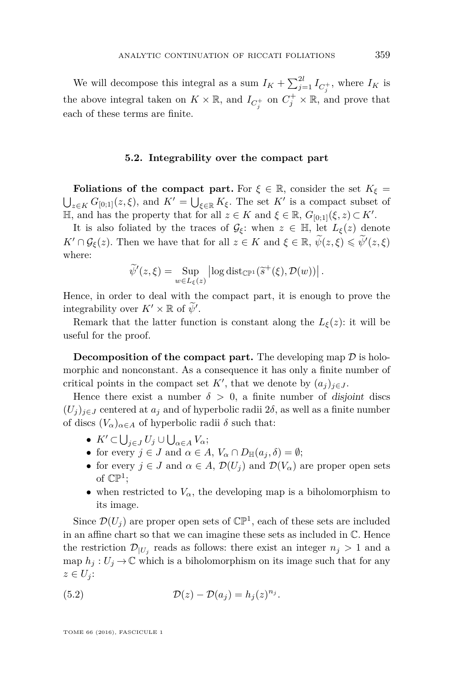We will decompose this integral as a sum  $I_K + \sum_{j=1}^{2l} I_{C_j^+}$ , where  $I_K$  is the above integral taken on  $K \times \mathbb{R}$ , and  $I_{C_j^+}$  on  $C_j^+ \times \mathbb{R}$ , and prove that each of these terms are finite.

#### **5.2. Integrability over the compact part**

**Foliations of the compact part.** For  $\xi \in \mathbb{R}$ , consider the set  $K_{\xi} =$  $\bigcup_{z \in K} G_{[0,1]}(z,\xi)$ , and  $K' = \bigcup_{\xi \in \mathbb{R}} K_{\xi}$ . The set  $K'$  is a compact subset of  $\mathbb{H}$ , and has the property that for all  $z \in K$  and  $\xi \in \mathbb{R}$ ,  $G_{[0,1]}(\xi, z) \subset K'$ .

It is also foliated by the traces of  $\mathcal{G}_{\xi}$ : when  $z \in \mathbb{H}$ , let  $L_{\xi}(z)$  denote *K'*  $\cap$   $\mathcal{G}_{\xi}(z)$ . Then we have that for all  $z \in K$  and  $\xi \in \mathbb{R}$ ,  $\widetilde{\psi}(z,\xi) \leq \widetilde{\psi}'(z,\xi)$ where:

$$
\widetilde{\psi}'(z,\xi) = \sup_{w \in L_{\xi}(z)} \left| \log \mathrm{dist}_{\mathbb{CP}^1}(\widetilde{s}^+(\xi),\mathcal{D}(w)) \right|.
$$

Hence, in order to deal with the compact part, it is enough to prove the integrability over  $K' \times \mathbb{R}$  of  $\widetilde{\psi}'$ .

Remark that the latter function is constant along the  $L_{\xi}(z)$ : it will be useful for the proof.

**Decomposition of the compact part.** The developing map  $\mathcal{D}$  is holomorphic and nonconstant. As a consequence it has only a finite number of critical points in the compact set  $K'$ , that we denote by  $(a_j)_{j \in J}$ .

Hence there exist a number  $\delta > 0$ , a finite number of disjoint discs  $(U_i)_{i \in J}$  centered at  $a_j$  and of hyperbolic radii 2 $\delta$ , as well as a finite number of discs  $(V_\alpha)_{\alpha \in A}$  of hyperbolic radii  $\delta$  such that:

- $K' \subset \bigcup_{j \in J} U_j \cup \bigcup_{\alpha \in A} V_\alpha;$
- for every  $j \in J$  and  $\alpha \in A$ ,  $V_{\alpha} \cap D_{\mathbb{H}}(a_j, \delta) = \emptyset$ ;
- for every  $j \in J$  and  $\alpha \in A$ ,  $\mathcal{D}(U_j)$  and  $\mathcal{D}(V_\alpha)$  are proper open sets of  $\mathbb{CP}^1$ ;
- when restricted to  $V_\alpha$ , the developing map is a biholomorphism to its image.

Since  $\mathcal{D}(U_j)$  are proper open sets of  $\mathbb{CP}^1$ , each of these sets are included in an affine chart so that we can imagine these sets as included in  $\mathbb{C}$ . Hence the restriction  $\mathcal{D}_{|U_j}$  reads as follows: there exist an integer  $n_j > 1$  and a map  $h_j: U_j \to \mathbb{C}$  which is a biholomorphism on its image such that for any  $z \in U_j$ :

<span id="page-29-0"></span>(5.2) 
$$
\mathcal{D}(z) - \mathcal{D}(a_j) = h_j(z)^{n_j}.
$$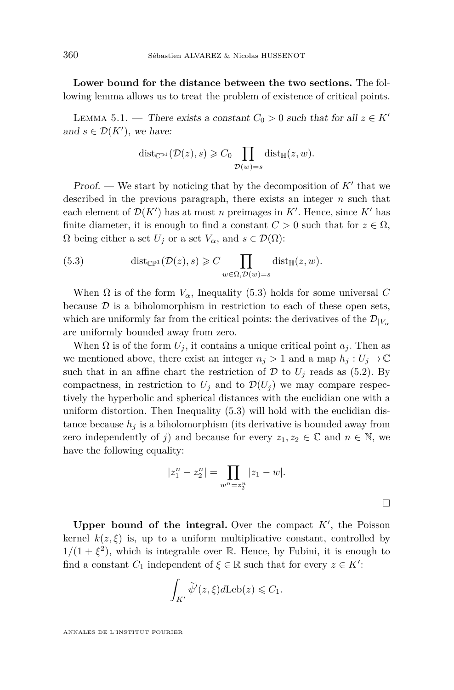**Lower bound for the distance between the two sections.** The following lemma allows us to treat the problem of existence of critical points.

<span id="page-30-1"></span>LEMMA 5.1. — There exists a constant  $C_0 > 0$  such that for all  $z \in K'$ and  $s \in \mathcal{D}(K')$ , we have:

$$
\mathrm{dist}_{\mathbb{CP}^1}(\mathcal{D}(z),s) \geqslant C_0 \prod_{\mathcal{D}(w)=s} \mathrm{dist}_{\mathbb{H}}(z,w).
$$

Proof. — We start by noticing that by the decomposition of  $K'$  that we described in the previous paragraph, there exists an integer *n* such that each element of  $\mathcal{D}(K')$  has at most *n* preimages in  $K'$ . Hence, since  $K'$  has finite diameter, it is enough to find a constant  $C > 0$  such that for  $z \in \Omega$ ,  $\Omega$  being either a set  $U_j$  or a set  $V_\alpha$ , and  $s \in \mathcal{D}(\Omega)$ :

<span id="page-30-0"></span>(5.3) 
$$
\text{dist}_{\mathbb{CP}^1}(\mathcal{D}(z),s) \geqslant C \prod_{w \in \Omega, \mathcal{D}(w)=s} \text{dist}_{\mathbb{H}}(z,w).
$$

When  $\Omega$  is of the form  $V_{\alpha}$ , Inequality [\(5.3\)](#page-30-0) holds for some universal *C* because  $D$  is a biholomorphism in restriction to each of these open sets, which are uniformly far from the critical points: the derivatives of the  $\mathcal{D}_{|V_{\alpha}|}$ are uniformly bounded away from zero.

When  $\Omega$  is of the form  $U_i$ , it contains a unique critical point  $a_i$ . Then as we mentioned above, there exist an integer  $n_j > 1$  and a map  $h_j : U_j \to \mathbb{C}$ such that in an affine chart the restriction of  $D$  to  $U_j$  reads as [\(5.2\)](#page-29-0). By compactness, in restriction to  $U_j$  and to  $\mathcal{D}(U_j)$  we may compare respectively the hyperbolic and spherical distances with the euclidian one with a uniform distortion. Then Inequality [\(5.3\)](#page-30-0) will hold with the euclidian distance because  $h_j$  is a biholomorphism (its derivative is bounded away from zero independently of *j*) and because for every  $z_1, z_2 \in \mathbb{C}$  and  $n \in \mathbb{N}$ , we have the following equality:

$$
|z_1^n - z_2^n| = \prod_{w^n = z_2^n} |z_1 - w|.
$$

Upper bound of the integral. Over the compact  $K'$ , the Poisson kernel  $k(z,\xi)$  is, up to a uniform multiplicative constant, controlled by  $1/(1 + \xi^2)$ , which is integrable over R. Hence, by Fubini, it is enough to find a constant  $C_1$  independent of  $\xi \in \mathbb{R}$  such that for every  $z \in K'$ :

$$
\int_{K'} \widetilde{\psi}'(z,\xi)d\text{Leb}(z) \leqslant C_1.
$$

ANNALES DE L'INSTITUT FOURIER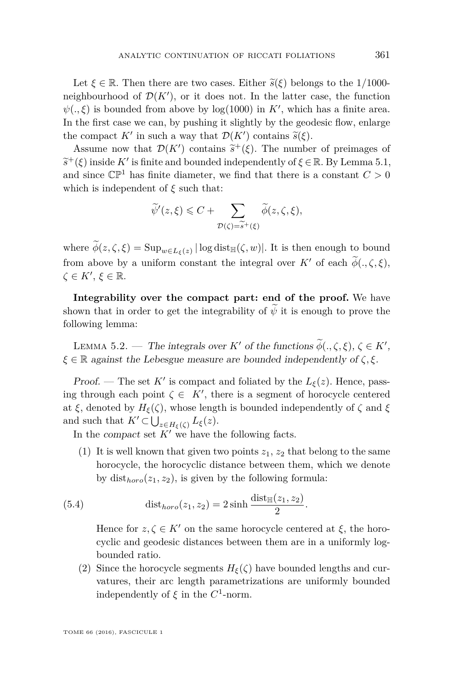Let  $\xi \in \mathbb{R}$ . Then there are two cases. Either  $\tilde{s}(\xi)$  belongs to the 1/1000neighbourhood of  $\mathcal{D}(K')$ , or it does not. In the latter case, the function  $\psi(.,\xi)$  is bounded from above by  $log(1000)$  in K', which has a finite area. In the first case we can, by pushing it slightly by the geodesic flow, enlarge the compact *K'* in such a way that  $\mathcal{D}(K')$  contains  $\tilde{s}(\xi)$ .<br>Agains now that  $\mathcal{D}(K')$  contains  $\tilde{s}^{+}(\xi)$ . The number

Assume now that  $\mathcal{D}(K')$  contains  $\tilde{s}^+(\xi)$ . The number of preimages of  $(f)$  incide  $K'$  is finite and hounded independently of  $\xi \in \mathbb{R}$ . By Lamma 5.1  $\widetilde{s}^+(\xi)$  inside *K'* is finite and bounded independently of  $\xi \in \mathbb{R}$ . By Lemma [5.1,](#page-30-1)<br>and since  $\mathbb{C}^{\mathbb{R}1}$  has finite diameter, we find that there is a senstant  $C > 0$ . and since  $\mathbb{CP}^1$  has finite diameter, we find that there is a constant  $C > 0$ which is independent of *ξ* such that:

$$
\widetilde{\psi}'(z,\xi) \leq C + \sum_{\mathcal{D}(\zeta) = \widetilde{s}^+(\xi)} \widetilde{\phi}(z,\zeta,\xi),
$$

where  $\phi(z,\zeta,\xi) = \text{Sup}_{w \in L_{\xi}(z)} |\log \text{dist}_{\mathbb{H}}(\zeta,w)|$ . It is then enough to bound from above by a uniform constant the integral over  $K'$  of each  $\phi(.,\zeta,\xi)$ ,  $\zeta \in K', \, \xi \in \mathbb{R}$ .

**Integrability over the compact part: end of the proof.** We have shown that in order to get the integrability of  $\psi$  it is enough to prove the following lemma:

LEMMA 5.2. — The integrals over *K'* of the functions  $\widetilde{\phi}(\cdot,\zeta,\xi), \zeta \in K'$ , *ξ* ∈ R against the Lebesgue measure are bounded independently of *ζ, ξ*.

Proof. — The set  $K'$  is compact and foliated by the  $L_{\xi}(z)$ . Hence, passing through each point  $\zeta \in K'$ , there is a segment of horocycle centered at  $\xi$ , denoted by  $H_{\xi}(\zeta)$ , whose length is bounded independently of  $\zeta$  and  $\xi$ and such that  $K' \subset \bigcup_{z \in H_{\xi}(\zeta)} L_{\xi}(z)$ .

In the *compact* set  $K'$  we have the following facts.

(1) It is well known that given two points  $z_1, z_2$  that belong to the same horocycle, the horocyclic distance between them, which we denote by  $dist_{horo}(z_1, z_2)$ , is given by the following formula:

(5.4) 
$$
\text{dist}_{\text{horo}}(z_1, z_2) = 2 \sinh \frac{\text{dist}_{\mathbb{H}}(z_1, z_2)}{2}.
$$

<span id="page-31-0"></span>Hence for  $z, \zeta \in K'$  on the same horocycle centered at  $\xi$ , the horocyclic and geodesic distances between them are in a uniformly logbounded ratio.

(2) Since the horocycle segments  $H_{\xi}(\zeta)$  have bounded lengths and curvatures, their arc length parametrizations are uniformly bounded independently of  $\xi$  in the  $C^1$ -norm.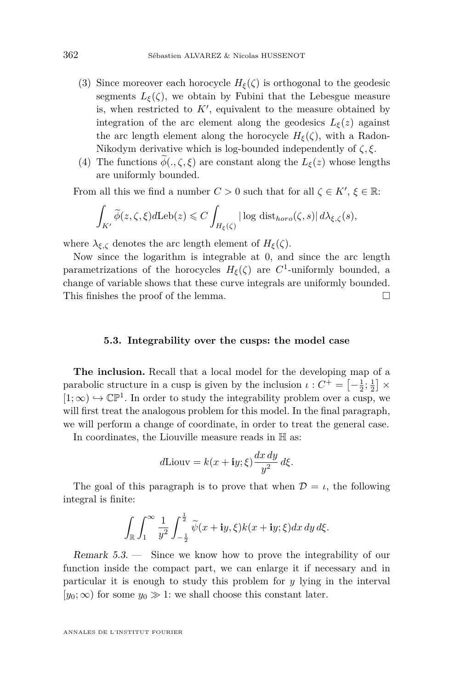- (3) Since moreover each horocycle  $H_{\xi}(\zeta)$  is orthogonal to the geodesic segments  $L_{\xi}(\zeta)$ , we obtain by Fubini that the Lebesgue measure is, when restricted to  $K'$ , equivalent to the measure obtained by integration of the arc element along the geodesics  $L_{\xi}(z)$  against the arc length element along the horocycle  $H_{\xi}(\zeta)$ , with a Radon-Nikodym derivative which is log-bounded independently of *ζ, ξ*.
- (4) The functions  $\widetilde{\phi}(\cdot,\zeta,\xi)$  are constant along the  $L_{\xi}(z)$  whose lengths are uniformly bounded.

From all this we find a number  $C > 0$  such that for all  $\zeta \in K'$ ,  $\xi \in \mathbb{R}$ :

$$
\int_{K'} \widetilde{\phi}(z,\zeta,\xi) d\text{Leb}(z) \leq C \int_{H_{\xi}(\zeta)} |\log \text{dist}_{\text{horo}}(\zeta,s)| d\lambda_{\xi,\zeta}(s),
$$

where  $\lambda_{\xi,\zeta}$  denotes the arc length element of  $H_{\xi}(\zeta)$ .

Now since the logarithm is integrable at 0, and since the arc length parametrizations of the horocycles  $H_{\xi}(\zeta)$  are  $C^1$ -uniformly bounded, a change of variable shows that these curve integrals are uniformly bounded. This finishes the proof of the lemma.

#### **5.3. Integrability over the cusps: the model case**

**The inclusion.** Recall that a local model for the developing map of a parabolic structure in a cusp is given by the inclusion  $\iota : C^+ = \left[-\frac{1}{2}, \frac{1}{2}\right] \times$  $[1; \infty) \hookrightarrow \mathbb{CP}^1$ . In order to study the integrability problem over a cusp, we will first treat the analogous problem for this model. In the final paragraph, we will perform a change of coordinate, in order to treat the general case.

In coordinates, the Liouville measure reads in H as:

$$
d\text{Liouv} = k(x + \mathbf{i}y; \xi) \frac{dx \, dy}{y^2} \, d\xi.
$$

The goal of this paragraph is to prove that when  $\mathcal{D} = \iota$ , the following integral is finite:

$$
\int_{\mathbb{R}}\int_{1}^{\infty}\frac{1}{y^2}\int_{-\frac{1}{2}}^{\frac{1}{2}}\widetilde{\psi}(x+\mathbf{i}y,\xi)k(x+\mathbf{i}y;\xi)dx\,dy\,d\xi.
$$

Remark 5.3. — Since we know how to prove the integrability of our function inside the compact part, we can enlarge it if necessary and in particular it is enough to study this problem for *y* lying in the interval  $[y_0; \infty)$  for some  $y_0 \gg 1$ : we shall choose this constant later.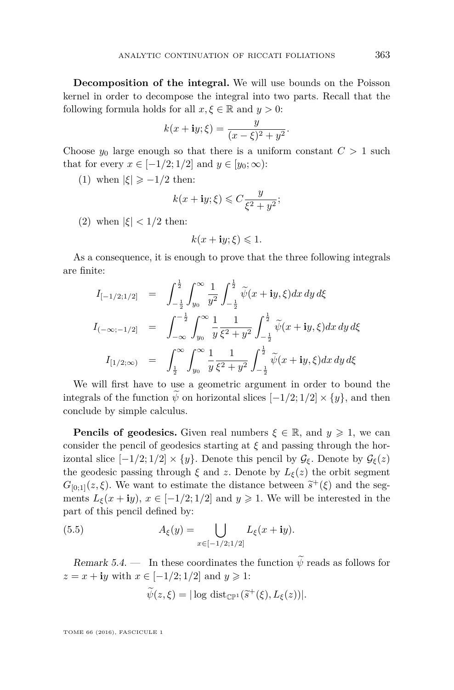**Decomposition of the integral.** We will use bounds on the Poisson kernel in order to decompose the integral into two parts. Recall that the following formula holds for all  $x, \xi \in \mathbb{R}$  and  $y > 0$ :

$$
k(x + iy; \xi) = \frac{y}{(x - \xi)^2 + y^2}.
$$

Choose  $y_0$  large enough so that there is a uniform constant  $C > 1$  such that for every  $x \in [-1/2; 1/2]$  and  $y \in [y_0; \infty)$ :

(1) when  $|\xi| \ge -1/2$  then:

$$
k(x + \mathbf{i}y; \xi) \leqslant C \frac{y}{\xi^2 + y^2};
$$

(2) when  $|\xi|$  < 1/2 then:

$$
k(x + \mathbf{i}y; \xi) \leq 1.
$$

As a consequence, it is enough to prove that the three following integrals are finite:

$$
I_{[-1/2;1/2]} = \int_{-\frac{1}{2}}^{\frac{1}{2}} \int_{y_0}^{\infty} \frac{1}{y^2} \int_{-\frac{1}{2}}^{\frac{1}{2}} \tilde{\psi}(x + iy, \xi) dx dy d\xi
$$
  

$$
I_{(-\infty;-1/2]} = \int_{-\infty}^{-\frac{1}{2}} \int_{y_0}^{\infty} \frac{1}{y} \frac{1}{\xi^2 + y^2} \int_{-\frac{1}{2}}^{\frac{1}{2}} \tilde{\psi}(x + iy, \xi) dx dy d\xi
$$
  

$$
I_{[1/2;\infty)} = \int_{\frac{1}{2}}^{\infty} \int_{y_0}^{\infty} \frac{1}{y} \frac{1}{\xi^2 + y^2} \int_{-\frac{1}{2}}^{\frac{1}{2}} \tilde{\psi}(x + iy, \xi) dx dy d\xi
$$

We will first have to use a geometric argument in order to bound the integrals of the function  $\tilde{\psi}$  on horizontal slices  $[-1/2; 1/2] \times \{y\}$ , and then conclude by simple calculus.

**Pencils of geodesics.** Given real numbers  $\xi \in \mathbb{R}$ , and  $y \ge 1$ , we can consider the pencil of geodesics starting at *ξ* and passing through the horizontal slice  $[-1/2; 1/2] \times \{y\}$ . Denote this pencil by  $\mathcal{G}_{\xi}$ . Denote by  $\mathcal{G}_{\xi}(z)$ the geodesic passing through  $\xi$  and  $z$ . Denote by  $L_{\xi}(z)$  the orbit segment  $G_{[0;1]}(z,\xi)$ . We want to estimate the distance between  $\tilde{s}^+(\xi)$  and the seg-<br>menta  $I_{\epsilon}(x+\mathbf{i}\omega)$ ,  $x \in [-1/2,1/2]$  and  $y > 1$ . We will be interested in the ments  $L_{\xi}(x + iy), x \in [-1/2; 1/2]$  and  $y \ge 1$ . We will be interested in the part of this pencil defined by:

(5.5) 
$$
A_{\xi}(y) = \bigcup_{x \in [-1/2; 1/2]} L_{\xi}(x + iy).
$$

Remark 5.4. — In these coordinates the function  $\widetilde{\psi}$  reads as follows for  $z = x + iy$  with  $x \in [-1/2; 1/2]$  and  $y \ge 1$ :

<span id="page-33-0"></span>
$$
\widetilde{\psi}(z,\xi) = |\log \text{dist}_{\mathbb{CP}^1}(\widetilde{s}^+(\xi), L_{\xi}(z))|.
$$

TOME 66 (2016), FASCICULE 1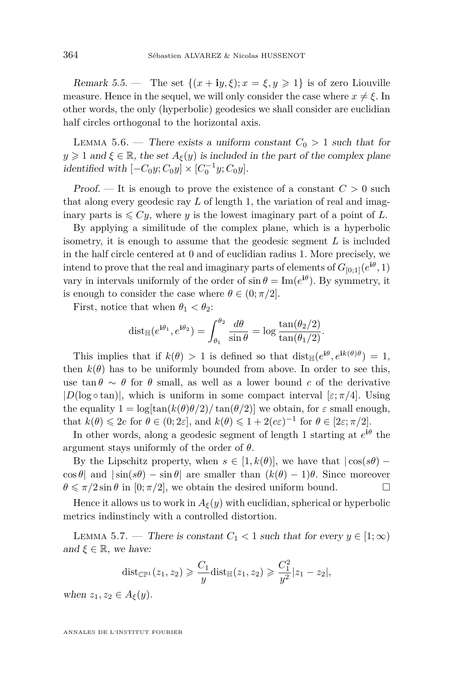Remark 5.5. — The set  $\{(x + iy, \xi); x = \xi, y \geq 1\}$  is of zero Liouville measure. Hence in the sequel, we will only consider the case where  $x \neq \xi$ . In other words, the only (hyperbolic) geodesics we shall consider are euclidian half circles orthogonal to the horizontal axis.

<span id="page-34-0"></span>LEMMA 5.6. — There exists a uniform constant  $C_0 > 1$  such that for  $y \geq 1$  and  $\xi \in \mathbb{R}$ , the set  $A_{\xi}(y)$  is included in the part of the complex plane *identified with*  $[-C_0y; C_0y] \times [C_0^{-1}y; C_0y]$ .

Proof.  $\overline{\phantom{a}}$  It is enough to prove the existence of a constant  $C > 0$  such that along every geodesic ray *L* of length 1, the variation of real and imaginary parts is  $\leq C_y$ , where *y* is the lowest imaginary part of a point of *L*.

By applying a similitude of the complex plane, which is a hyperbolic isometry, it is enough to assume that the geodesic segment *L* is included in the half circle centered at 0 and of euclidian radius 1. More precisely, we intend to prove that the real and imaginary parts of elements of  $G_{[0,1]}(e^{i\theta}, 1)$ vary in intervals uniformly of the order of  $\sin \theta = \text{Im}(e^{i\theta})$ . By symmetry, it is enough to consider the case where  $\theta \in (0; \pi/2]$ .

First, notice that when  $\theta_1 < \theta_2$ :

$$
\operatorname{dist}_{\mathbb{H}}(e^{\mathbf{i}\theta_1}, e^{\mathbf{i}\theta_2}) = \int_{\theta_1}^{\theta_2} \frac{d\theta}{\sin \theta} = \log \frac{\tan(\theta_2/2)}{\tan(\theta_1/2)}.
$$

This implies that if  $k(\theta) > 1$  is defined so that  $dist_{\mathbb{H}}(e^{i\theta}, e^{i k(\theta)\theta}) = 1$ , then  $k(\theta)$  has to be uniformly bounded from above. In order to see this, use tan  $\theta \sim \theta$  for  $\theta$  small, as well as a lower bound *c* of the derivative  $|D(\log \circ \tan)|$ , which is uniform in some compact interval  $[\varepsilon; \pi/4]$ . Using the equality  $1 = \log[\tan(k(\theta)\theta/2)/\tan(\theta/2)]$  we obtain, for  $\varepsilon$  small enough, that  $k(\theta) \leq 2e$  for  $\theta \in (0; 2\varepsilon]$ , and  $k(\theta) \leq 1 + 2(c\varepsilon)^{-1}$  for  $\theta \in [2\varepsilon; \pi/2]$ .

In other words, along a geodesic segment of length 1 starting at  $e^{i\theta}$  the argument stays uniformly of the order of *θ*.

By the Lipschitz property, when  $s \in [1, k(\theta)]$ , we have that  $|\cos(s\theta) \cos \theta$ | and  $|\sin(s\theta) - \sin \theta|$  are smaller than  $(k(\theta) - 1)\theta$ . Since moreover  $\theta \leq \pi/2 \sin \theta$  in [0;  $\pi/2$ ], we obtain the desired uniform bound.

Hence it allows us to work in  $A_{\xi}(y)$  with euclidian, spherical or hyperbolic metrics indinstincly with a controlled distortion.

<span id="page-34-1"></span>LEMMA 5.7. — There is constant  $C_1 < 1$  such that for every  $y \in [1, \infty)$ and  $\xi \in \mathbb{R}$ , we have:

$$
{\rm dist}_{\mathbb{CP}^1}(z_1,z_2) \geqslant \frac{C_1}{y}{\rm dist}_{\mathbb{H}}(z_1,z_2) \geqslant \frac{C_1^2}{y^2}|z_1-z_2|,
$$

when  $z_1, z_2 \in A_{\xi}(y)$ .

ANNALES DE L'INSTITUT FOURIER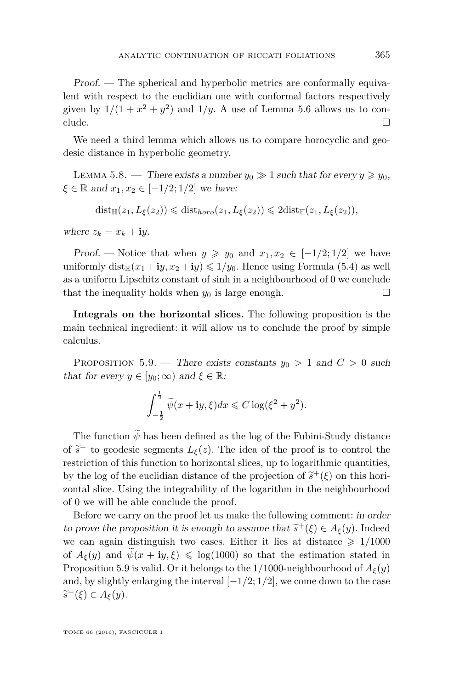Proof. — The spherical and hyperbolic metrics are conformally equivalent with respect to the euclidian one with conformal factors respectively given by  $1/(1 + x^2 + y^2)$  and  $1/y$ . A use of Lemma [5.6](#page-34-0) allows us to conclude.  $\Box$ 

We need a third lemma which allows us to compare horocyclic and geodesic distance in hyperbolic geometry.

<span id="page-35-1"></span>LEMMA 5.8. — There exists a number  $y_0 \gg 1$  such that for every  $y \geq y_0$ ,  $\xi \in \mathbb{R}$  and  $x_1, x_2 \in [-1/2; 1/2]$  we have:

$$
dist_{\mathbb{H}}(z_1, L_{\xi}(z_2)) \leq \text{dist}_{\text{horo}}(z_1, L_{\xi}(z_2)) \leq 2dist_{\mathbb{H}}(z_1, L_{\xi}(z_2)),
$$

where  $z_k = x_k + iy$ .

Proof. — Notice that when  $y \geq y_0$  and  $x_1, x_2 \in [-1/2, 1/2]$  we have uniformly dist<sub>H</sub> $(x_1 + iy, x_2 + iy) \leq 1/y_0$ . Hence using Formula [\(5.4\)](#page-31-0) as well as a uniform Lipschitz constant of sinh in a neighbourhood of 0 we conclude that the inequality holds when  $y_0$  is large enough.

**Integrals on the horizontal slices.** The following proposition is the main technical ingredient: it will allow us to conclude the proof by simple calculus.

<span id="page-35-0"></span>PROPOSITION 5.9. — There exists constants  $y_0 > 1$  and  $C > 0$  such that for every  $y \in [y_0; \infty)$  and  $\xi \in \mathbb{R}$ :

$$
\int_{-\frac{1}{2}}^{\frac{1}{2}} \widetilde{\psi}(x + iy, \xi) dx \leq C \log(\xi^2 + y^2).
$$

The function  $\widetilde{\psi}$  has been defined as the log of the Fubini-Study distance of  $\tilde{s}^+$  to geodesic segments  $L_{\xi}(z)$ . The idea of the proof is to control the restriction of this function to horizontal slices, up to logarithmic quantities, by the log of the euclidian distance of the projection of  $\tilde{s}^+(\xi)$  on this hori-<br>contability limit the intermal limit of the lagarithm in the prightenulated zontal slice. Using the integrability of the logarithm in the neighbourhood of 0 we will be able conclude the proof.

Before we carry on the proof let us make the following comment: in order to prove the proposition it is enough to assume that  $\tilde{s}^+(\xi) \in A_{\xi}(y)$ . Indeed we can again distinguish two cases. Either it lies at distance  $\geq 1/1000$ of  $A_{\xi}(y)$  and  $\psi(x + iy, \xi) \leq \log(1000)$  so that the estimation stated in Proposition [5.9](#page-35-0) is valid. Or it belongs to the 1/1000-neighbourhood of  $A_{\xi}(y)$ and, by slightly enlarging the interval [−1*/*2; 1*/*2], we come down to the case  $\widetilde{s}^+(\xi) \in A_{\xi}(y).$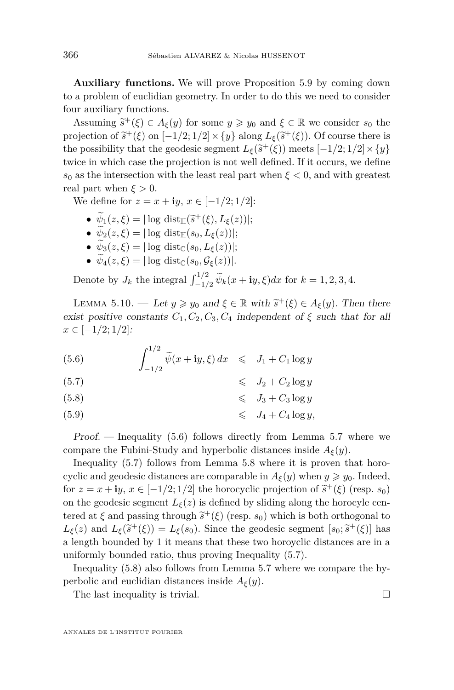**Auxiliary functions.** We will prove Proposition [5.9](#page-35-0) by coming down to a problem of euclidian geometry. In order to do this we need to consider four auxiliary functions.

Assuming  $\tilde{s}^+(\xi) \in A_{\xi}(y)$  for some  $y \geq y_0$  and  $\xi \in \mathbb{R}$  we consider  $s_0$  the circuition of  $\tilde{s}^+(s)$  or  $[1/2, 1/2] \times [s_0]$  along  $I_{\xi}( \tilde{s}^+(s))$ . Of gourse there is projection of  $\tilde{s}^+(\xi)$  on  $[-1/2; 1/2] \times \{y\}$  along  $L_{\xi}(\tilde{s}^+(\xi))$ . Of course there is the possibility that the geodesic segment  $L_{\xi}(\tilde{s}^+(\xi))$  meets  $[-1/2; 1/2] \times \{y\}$ <br>twise in which gase the prejection is not well defined. If it gesums we define twice in which case the projection is not well defined. If it occurs, we define  $s_0$  as the intersection with the least real part when  $\xi < 0$ , and with greatest real part when  $\xi > 0$ .

We define for  $z = x + i y$ ,  $x \in [-1/2; 1/2]$ :

- $\psi_1(z,\xi) = |\log \text{dist}_{\mathbb{H}}(\tilde{s}^+(\xi), L_{\xi}(z))|;$ <br>  $\psi_1(z,\xi) = |\log \text{dist}_{\mathbb{H}}(z, \xi) L_{\xi}(z)|.$
- $\psi_2(z,\xi) = |\log \text{dist}_{\mathbb{H}}(s_0, L_{\xi}(z))|;$
- $\widetilde{\psi}_3(z,\xi) = |\log \text{dist}_{\mathbb{C}}(s_0,L_{\xi}(z))|;$
- $\widetilde{\psi}_4(z,\xi) = |\log \text{dist}_{\mathbb{C}}(s_0,\mathcal{G}_{\xi}(z))|.$

Denote by  $J_k$  the integral  $\int_{-1/2}^{1/2} \widetilde{\psi}_k(x + iy, \xi) dx$  for  $k = 1, 2, 3, 4$ .

<span id="page-36-1"></span>LEMMA 5.10. — Let  $y \ge y_0$  and  $\xi \in \mathbb{R}$  with  $\tilde{s}^+(\xi) \in A_{\xi}(y)$ . Then there exist positive constants  $C_1, C_2, C_3, C_4$  independent of  $\xi$  such that for all *x* ∈ [−1*/*2; 1*/*2]:

<span id="page-36-0"></span>(5.6) 
$$
\int_{-1/2}^{1/2} \widetilde{\psi}(x + iy, \xi) dx \leq J_1 + C_1 \log y
$$

(5.7) 6 *J*<sup>2</sup> + *C*<sup>2</sup> log *y*

(5.8) 6 *J*<sup>3</sup> + *C*<sup>3</sup> log *y*

(5.9)  $\leq J_4 + C_4 \log y,$ 

Proof. — Inequality [\(5.6\)](#page-36-0) follows directly from Lemma [5.7](#page-34-1) where we compare the Fubini-Study and hyperbolic distances inside  $A_{\xi}(y)$ .

Inequality [\(5.7\)](#page-36-0) follows from Lemma [5.8](#page-35-1) where it is proven that horocyclic and geodesic distances are comparable in  $A_{\xi}(y)$  when  $y \geq y_0$ . Indeed, for  $z = x + iy$ ,  $x \in [-1/2; 1/2]$  the horocyclic projection of  $\tilde{s}^+(\xi)$  (resp.  $s_0$ ) on the geodesic segment  $L_{\xi}(z)$  is defined by sliding along the horocyle centered at  $\xi$  and passing through  $\tilde{s}^+(\xi)$  (resp.  $s_0$ ) which is both orthogonal to<br>  $I_-(s)$  and  $I_-(\tilde{s}^+(\xi)) = I_-(s)$ . Since the goodenic segment  $[s, i\tilde{s}^+(\xi)]$  has  $L_{\xi}(z)$  and  $L_{\xi}(\tilde{s}^+(\xi)) = L_{\xi}(s_0)$ . Since the geodesic segment [ $s_0$ ;  $\tilde{s}^+(\xi)$ ] has a length bounded by 1 it means that these two horoyclic distances are in a uniformly bounded ratio, thus proving Inequality [\(5.7\)](#page-36-0).

Inequality [\(5.8\)](#page-36-0) also follows from Lemma [5.7](#page-34-1) where we compare the hyperbolic and euclidian distances inside  $A_{\xi}(y)$ .

The last inequality is trivial.  $\Box$ 

ANNALES DE L'INSTITUT FOURIER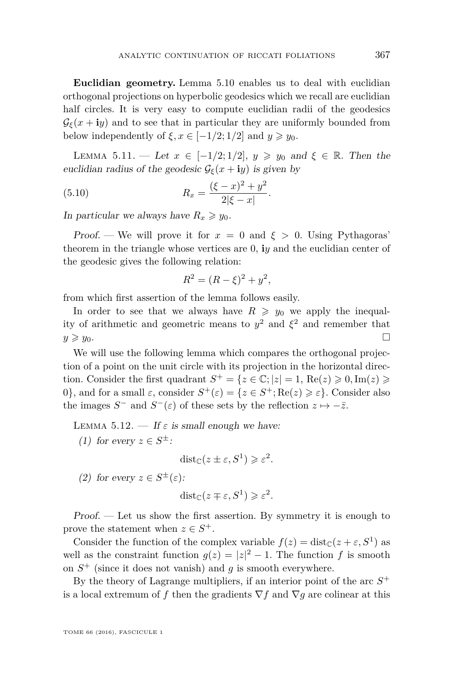**Euclidian geometry.** Lemma [5.10](#page-36-1) enables us to deal with euclidian orthogonal projections on hyperbolic geodesics which we recall are euclidian half circles. It is very easy to compute euclidian radii of the geodesics  $\mathcal{G}_{\epsilon}(x + iy)$  and to see that in particular they are uniformly bounded from below independently of  $\xi, x \in [-1/2; 1/2]$  and  $y \geq y_0$ .

<span id="page-37-0"></span>LEMMA 5.11. — Let  $x \in [-1/2, 1/2], y \geq y_0$  and  $\xi \in \mathbb{R}$ . Then the euclidian radius of the geodesic  $\mathcal{G}_{\xi}(x + iy)$  is given by

(5.10) 
$$
R_x = \frac{(\xi - x)^2 + y^2}{2|\xi - x|}.
$$

In particular we always have  $R_x \geq y_0$ .

Proof. — We will prove it for  $x = 0$  and  $\xi > 0$ . Using Pythagoras' theorem in the triangle whose vertices are 0, **i***y* and the euclidian center of the geodesic gives the following relation:

<span id="page-37-2"></span>
$$
R^2 = (R - \xi)^2 + y^2,
$$

from which first assertion of the lemma follows easily.

In order to see that we always have  $R \geq y_0$  we apply the inequality of arithmetic and geometric means to  $y^2$  and  $\xi^2$  and remember that  $y \geqslant y_0$ .

We will use the following lemma which compares the orthogonal projection of a point on the unit circle with its projection in the horizontal direction. Consider the first quadrant  $S^+ = \{z \in \mathbb{C}; |z| = 1, \text{Re}(z) \geqslant 0, \text{Im}(z) \geqslant 0\}$ 0}, and for a small *ε*, consider  $S^+(\varepsilon) = \{z \in S^+; \text{Re}(z) \ge \varepsilon\}$ . Consider also the images  $S^-$  and  $S^-(\varepsilon)$  of these sets by the reflection  $z \mapsto -\overline{z}$ .

<span id="page-37-1"></span>LEMMA 5.12.  $\overline{\phantom{a}}$  If  $\varepsilon$  is small enough we have:

(1) for every  $z \in S^{\pm}$ :

$$
dist_{\mathbb{C}}(z \pm \varepsilon, S^1) \geqslant \varepsilon^2.
$$

(2) for every  $z \in S^{\pm}(\varepsilon)$ :

$$
dist_{\mathbb{C}}(z \mp \varepsilon, S^1) \geqslant \varepsilon^2.
$$

Proof. — Let us show the first assertion. By symmetry it is enough to prove the statement when  $z \in S^+$ .

Consider the function of the complex variable  $f(z) = \text{dist}_{\mathbb{C}}(z + \varepsilon, S^1)$  as well as the constraint function  $g(z) = |z|^2 - 1$ . The function f is smooth on  $S^+$  (since it does not vanish) and  $g$  is smooth everywhere.

By the theory of Lagrange multipliers, if an interior point of the arc  $S^+$ is a local extremum of *f* then the gradients  $\nabla f$  and  $\nabla g$  are colinear at this

TOME 66 (2016), FASCICULE 1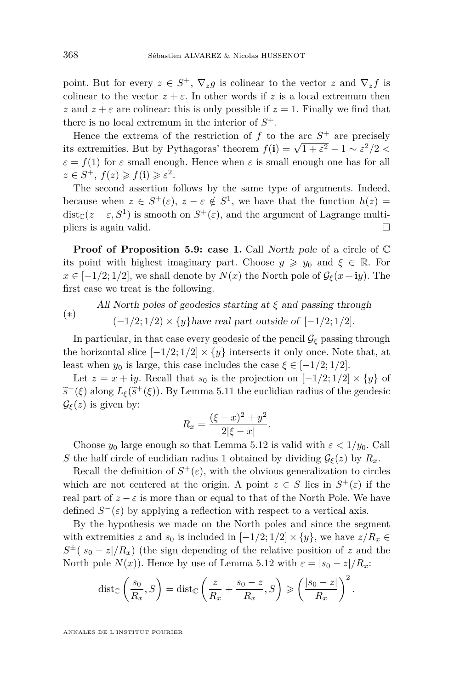point. But for every  $z \in S^+$ ,  $\nabla_z g$  is colinear to the vector  $z$  and  $\nabla_z f$  is colinear to the vector  $z + \varepsilon$ . In other words if z is a local extremum then *z* and  $z + \varepsilon$  are colinear: this is only possible if  $z = 1$ . Finally we find that there is no local extremum in the interior of  $S^+$ .

Hence the extrema of the restriction of  $f$  to the arc  $S^+$  are precisely its extremities. But by Pythagoras' theorem  $f(\mathbf{i}) = \sqrt{1 + \varepsilon^2} - 1 \sim \varepsilon^2/2 <$  $\varepsilon = f(1)$  for  $\varepsilon$  small enough. Hence when  $\varepsilon$  is small enough one has for all  $z \in S^+$ ,  $f(z) \geqslant f(\mathbf{i}) \geqslant \varepsilon^2$ .

The second assertion follows by the same type of arguments. Indeed, because when  $z \in S^+(\varepsilon)$ ,  $z - \varepsilon \notin S^1$ , we have that the function  $h(z) =$  $dist_{\mathbb{C}}(z-\varepsilon, S^1)$  is smooth on  $S^+(\varepsilon)$ , and the argument of Lagrange multipliers is again valid.

**Proof of Proposition [5.9:](#page-35-0)** case 1. Call North pole of a circle of  $\mathbb C$ its point with highest imaginary part. Choose  $y \geq y_0$  and  $\xi \in \mathbb{R}$ . For  $x \in [-1/2, 1/2]$ , we shall denote by  $N(x)$  the North pole of  $\mathcal{G}_{\xi}(x + iy)$ . The first case we treat is the following.

(∗) All North poles of geodesics starting at *ξ* and passing through  $(-1/2; 1/2) \times {y}$  have real part outside of  $[-1/2; 1/2]$ *.* 

In particular, in that case every geodesic of the pencil  $\mathcal{G}_{\xi}$  passing through the horizontal slice  $[-1/2; 1/2] \times \{y\}$  intersects it only once. Note that, at least when  $y_0$  is large, this case includes the case  $\xi \in [-1/2; 1/2]$ .

Let  $z = x + iy$ . Recall that  $s_0$  is the projection on  $[-1/2; 1/2] \times \{y\}$  of  $\widetilde{s}^+(\xi)$  along  $L_{\xi}(\widetilde{s}^+(\xi))$ . By Lemma [5.11](#page-37-0) the euclidian radius of the geodesic  $\mathcal{G}_{\xi}(z)$  is given by:

$$
R_x = \frac{(\xi - x)^2 + y^2}{2|\xi - x|}.
$$

Choose  $y_0$  large enough so that Lemma [5.12](#page-37-1) is valid with  $\varepsilon < 1/y_0$ . Call *S* the half circle of euclidian radius 1 obtained by dividing  $\mathcal{G}_{\xi}(z)$  by  $R_x$ .

Recall the definition of  $S^+(\varepsilon)$ , with the obvious generalization to circles which are not centered at the origin. A point  $z \in S$  lies in  $S^+(\varepsilon)$  if the real part of  $z - \varepsilon$  is more than or equal to that of the North Pole. We have defined  $S^-(\varepsilon)$  by applying a reflection with respect to a vertical axis.

By the hypothesis we made on the North poles and since the segment with extremities *z* and  $s_0$  is included in  $[-1/2; 1/2] \times \{y\}$ , we have  $z/R_x \in$  $S^{\pm}(|s_0 - z|/R_x)$  (the sign depending of the relative position of *z* and the North pole  $N(x)$ ). Hence by use of Lemma [5.12](#page-37-1) with  $\varepsilon = |s_0 - z|/R_x$ :

$$
\operatorname{dist}_{\mathbb{C}}\left(\frac{s_0}{R_x}, S\right) = \operatorname{dist}_{\mathbb{C}}\left(\frac{z}{R_x} + \frac{s_0 - z}{R_x}, S\right) \geqslant \left(\frac{|s_0 - z|}{R_x}\right)^2.
$$

ANNALES DE L'INSTITUT FOURIER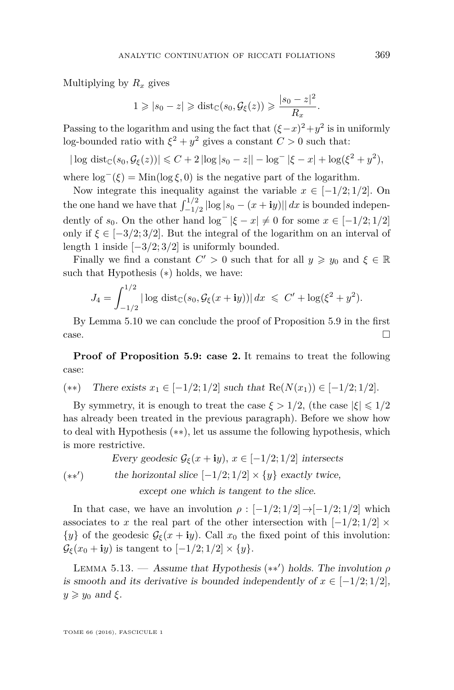Multiplying by *R<sup>x</sup>* gives

$$
1 \geqslant |s_0 - z| \geqslant \text{dist}_{\mathbb{C}}(s_0, \mathcal{G}_{\xi}(z)) \geqslant \frac{|s_0 - z|^2}{R_x}.
$$

Passing to the logarithm and using the fact that  $({\xi - x})^2 + y^2$  is in uniformly log-bounded ratio with  $\xi^2 + y^2$  gives a constant  $C > 0$  such that:

$$
|\log \text{dist}_{\mathbb{C}}(s_0, \mathcal{G}_{\xi}(z))| \leq C + 2 |\log |s_0 - z|| - \log^{-} |\xi - x| + \log(\xi^2 + y^2),
$$

where  $\log^{-}(\xi) = \text{Min}(\log \xi, 0)$  is the negative part of the logarithm.

Now integrate this inequality against the variable  $x \in [-1/2, 1/2]$ . On the one hand we have that  $\int_{-1/2}^{1/2} |\log |s_0 - (x + iy)| | dx$  is bounded independently of *s*<sub>0</sub>. On the other hand  $\log^{-}|\xi - x| \neq 0$  for some  $x \in [-1/2; 1/2]$ only if  $\xi \in [-3/2, 3/2]$ . But the integral of the logarithm on an interval of length 1 inside [−3*/*2; 3*/*2] is uniformly bounded.

Finally we find a constant  $C' > 0$  such that for all  $y \geq y_0$  and  $\xi \in \mathbb{R}$ such that Hypothesis (∗) holds, we have:

$$
J_4 = \int_{-1/2}^{1/2} |\log \, \mathrm{dist}_{\mathbb{C}}(s_0, \mathcal{G}_{\xi}(x + iy))| \, dx \leq C' + \log(\xi^2 + y^2).
$$

By Lemma [5.10](#page-36-1) we can conclude the proof of Proposition [5.9](#page-35-0) in the first  $\Box$ 

**Proof of Proposition [5.9:](#page-35-0) case 2.** It remains to treat the following case:

(\*\*) There exists 
$$
x_1 \in [-1/2; 1/2]
$$
 such that  $\text{Re}(N(x_1)) \in [-1/2; 1/2]$ .

By symmetry, it is enough to treat the case  $\xi > 1/2$ , (the case  $|\xi| \leq 1/2$ has already been treated in the previous paragraph). Before we show how to deal with Hypothesis (∗∗), let us assume the following hypothesis, which is more restrictive.

 $(**')$ Every geodesic  $\mathcal{G}_{\xi}(x + iy), x \in [-1/2; 1/2]$  intersects the horizontal slice  $[-1/2; 1/2] \times \{y\}$  exactly twice,

except one which is tangent to the slice.

In that case, we have an involution  $\rho : [-1/2; 1/2] \rightarrow [-1/2; 1/2]$  which associates to *x* the real part of the other intersection with  $[-1/2; 1/2] \times$  $\{y\}$  of the geodesic  $\mathcal{G}_{\xi}(x + iy)$ . Call  $x_0$  the fixed point of this involution:  $\mathcal{G}_{\xi}(x_0 + iy)$  is tangent to  $[-1/2; 1/2] \times \{y\}.$ 

LEMMA 5.13. — Assume that Hypothesis  $(**')$  holds. The involution  $\rho$ is smooth and its derivative is bounded independently of  $x \in [-1/2, 1/2]$ ,  $y \ge y_0$  and  $\xi$ .

TOME 66 (2016), FASCICULE 1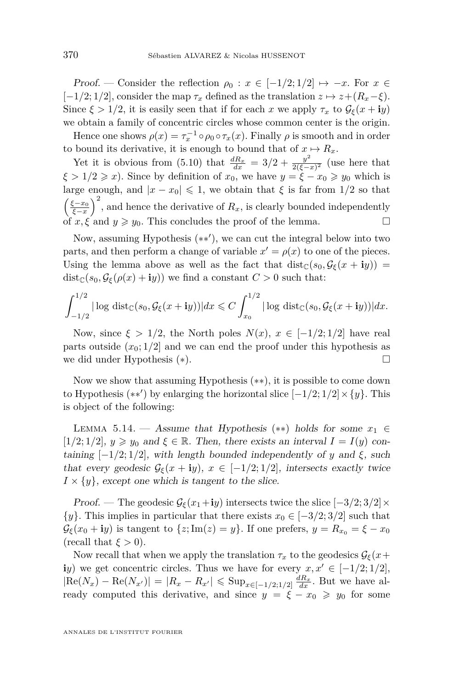Proof. — Consider the reflection  $\rho_0: x \in [-1/2; 1/2] \mapsto -x$ . For  $x \in$  $[-1/2; 1/2]$ , consider the map  $\tau_x$  defined as the translation  $z \mapsto z + (R_x - \xi)$ . Since  $\xi > 1/2$ , it is easily seen that if for each *x* we apply  $\tau_x$  to  $\mathcal{G}_{\xi}(x + iy)$ we obtain a family of concentric circles whose common center is the origin.

Hence one shows  $\rho(x) = \tau_x^{-1} \circ \rho_0 \circ \tau_x(x)$ . Finally  $\rho$  is smooth and in order to bound its derivative, it is enough to bound that of  $x \mapsto R_x$ .

Yet it is obvious from [\(5.10\)](#page-37-2) that  $\frac{dR_x}{dx} = 3/2 + \frac{y^2}{2(\xi - 1)}$  $\frac{y}{2(\xi-x)^2}$  (use here that  $\xi > 1/2 \geq x$ . Since by definition of  $x_0$ , we have  $y = \xi - x_0 \geq y_0$  which is large enough, and  $|x - x_0| \leq 1$ , we obtain that  $\xi$  is far from 1/2 so that  $\left(\frac{\xi - x_0}{\xi - x}\right)^2$ , and hence the derivative of  $R_x$ , is clearly bounded independently of  $x, \xi$  and  $y \ge y_0$ . This concludes the proof of the lemma.

Now, assuming Hypothesis (\*\*'), we can cut the integral below into two parts, and then perform a change of variable  $x' = \rho(x)$  to one of the pieces. Using the lemma above as well as the fact that  $dist_{\mathbb{C}}(s_0, \mathcal{G}_{\xi}(x + iy))$  =  $dist_{\mathbb{C}}(s_0, \mathcal{G}_{\xi}(\rho(x)+\mathbf{i}y))$  we find a constant  $C > 0$  such that:

$$
\int_{-1/2}^{1/2} |\log \mathrm{dist}_{\mathbb{C}}(s_0, \mathcal{G}_{\xi}(x+\mathbf{i}y))| dx \leq C \int_{x_0}^{1/2} |\log \mathrm{dist}_{\mathbb{C}}(s_0, \mathcal{G}_{\xi}(x+\mathbf{i}y))| dx.
$$

Now, since  $\xi > 1/2$ , the North poles  $N(x)$ ,  $x \in [-1/2, 1/2]$  have real parts outside  $(x_0; 1/2]$  and we can end the proof under this hypothesis as we did under Hypothesis (∗).

Now we show that assuming Hypothesis (∗∗), it is possible to come down to Hypothesis  $(**')$  by enlarging the horizontal slice  $[-1/2; 1/2] \times \{y\}$ . This is object of the following:

LEMMA 5.14. — Assume that Hypothesis (\*\*) holds for some  $x_1 \in$  $[1/2; 1/2]$ ,  $y \ge y_0$  and  $\xi \in \mathbb{R}$ . Then, there exists an interval  $I = I(y)$  containing  $[-1/2, 1/2]$ , with length bounded independently of *y* and *ξ*, such that every geodesic  $\mathcal{G}_{\xi}(x + iy), x \in [-1/2, 1/2],$  intersects exactly twice  $I \times \{y\}$ , except one which is tangent to the slice.

Proof. — The geodesic  $\mathcal{G}_{\xi}(x_1 + iy)$  intersects twice the slice  $[-3/2; 3/2] \times$  $\{y\}$ . This implies in particular that there exists  $x_0 \in [-3/2; 3/2]$  such that  $\mathcal{G}_{\xi}(x_0 + iy)$  is tangent to  $\{z; \text{Im}(z) = y\}$ . If one prefers,  $y = R_{x_0} = \xi - x_0$ (recall that  $\xi > 0$ ).

Now recall that when we apply the translation  $\tau_x$  to the geodesics  $\mathcal{G}_{\xi}(x+)$ **i***y*) we get concentric circles. Thus we have for every  $x, x' \in [-1/2, 1/2]$ ,  $|Re(N_x) - Re(N_{x'})| = |R_x - R_{x'}| \leqslant \text{Sup}_{x \in [-1/2; 1/2]} \frac{dR_x}{dx}$ . But we have already computed this derivative, and since  $y = \xi - x_0 \geq y_0$  for some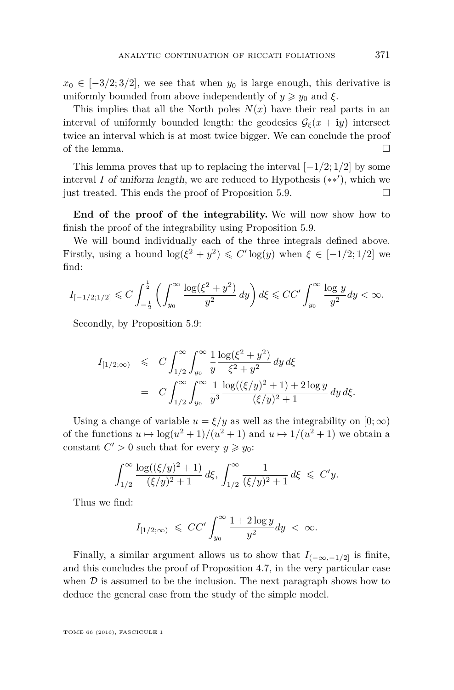$x_0 \in [-3/2, 3/2]$ , we see that when  $y_0$  is large enough, this derivative is uniformly bounded from above independently of  $y \geq y_0$  and  $\xi$ .

This implies that all the North poles  $N(x)$  have their real parts in an interval of uniformly bounded length: the geodesics  $\mathcal{G}_{\xi}(x + iy)$  intersect twice an interval which is at most twice bigger. We can conclude the proof of the lemma.  $\Box$ 

This lemma proves that up to replacing the interval [−1*/*2; 1*/*2] by some interval  $I$  of uniform length, we are reduced to Hypothesis  $(**')$ , which we just treated. This ends the proof of Proposition [5.9.](#page-35-0)

**End of the proof of the integrability.** We will now show how to finish the proof of the integrability using Proposition [5.9.](#page-35-0)

We will bound individually each of the three integrals defined above. Firstly, using a bound  $\log(\xi^2 + y^2) \leq C' \log(y)$  when  $\xi \in [-1/2; 1/2]$  we find:

$$
I_{[-1/2;1/2]} \leqslant C \int_{-\frac{1}{2}}^{\frac{1}{2}} \left( \int_{y_0}^{\infty} \frac{\log(\xi^2 + y^2)}{y^2} \, dy \right) d\xi \leqslant CC' \int_{y_0}^{\infty} \frac{\log y}{y^2} dy < \infty.
$$

Secondly, by Proposition [5.9:](#page-35-0)

$$
I_{[1/2,\infty)} \leq C \int_{1/2}^{\infty} \int_{y_0}^{\infty} \frac{1}{y} \frac{\log(\xi^2 + y^2)}{\xi^2 + y^2} dy d\xi
$$
  
= 
$$
C \int_{1/2}^{\infty} \int_{y_0}^{\infty} \frac{1}{y^3} \frac{\log((\xi/y)^2 + 1) + 2 \log y}{(\xi/y)^2 + 1} dy d\xi.
$$

Using a change of variable  $u = \xi/y$  as well as the integrability on  $[0, \infty)$ of the functions  $u \mapsto \log(u^2 + 1)/(u^2 + 1)$  and  $u \mapsto 1/(u^2 + 1)$  we obtain a constant  $C' > 0$  such that for every  $y \geq y_0$ :

$$
\int_{1/2}^{\infty} \frac{\log((\xi/y)^2 + 1)}{(\xi/y)^2 + 1} d\xi, \int_{1/2}^{\infty} \frac{1}{(\xi/y)^2 + 1} d\xi \leq C'y.
$$

Thus we find:

$$
I_{[1/2,\infty)} \leqslant CC' \int_{y_0}^{\infty} \frac{1 + 2 \log y}{y^2} dy < \infty.
$$

Finally, a similar argument allows us to show that  $I_{(-\infty,-1/2]}$  is finite, and this concludes the proof of Proposition [4.7,](#page-27-2) in the very particular case when  $\mathcal D$  is assumed to be the inclusion. The next paragraph shows how to deduce the general case from the study of the simple model.

TOME 66 (2016), FASCICULE 1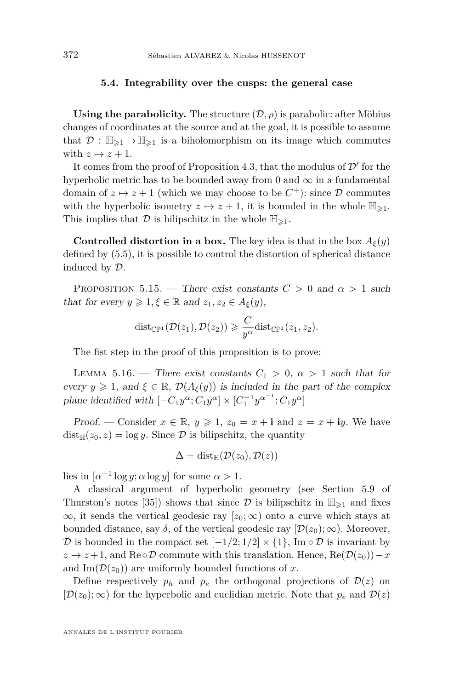#### **5.4. Integrability over the cusps: the general case**

**Using the parabolicity.** The structure  $(D, \rho)$  is parabolic: after Möbius changes of coordinates at the source and at the goal, it is possible to assume that  $\mathcal{D}: \mathbb{H}_{\geqslant 1} \to \mathbb{H}_{\geqslant 1}$  is a biholomorphism on its image which commutes with  $z \mapsto z + 1$ .

It comes from the proof of Proposition [4.3,](#page-24-0) that the modulus of  $\mathcal{D}'$  for the hyperbolic metric has to be bounded away from 0 and  $\infty$  in a fundamental domain of  $z \mapsto z + 1$  (which we may choose to be  $C^+$ ): since  $\mathcal D$  commutes with the hyperbolic isometry  $z \mapsto z + 1$ , it is bounded in the whole  $\mathbb{H}_{\geq 1}$ . This implies that  $\mathcal D$  is bilipschitz in the whole  $\mathbb H_{\geq 1}$ .

**Controlled distortion in a box.** The key idea is that in the box  $A_{\xi}(y)$ defined by [\(5.5\)](#page-33-0), it is possible to control the distortion of spherical distance induced by D.

<span id="page-42-0"></span>PROPOSITION 5.15. — There exist constants  $C > 0$  and  $\alpha > 1$  such that for every  $y \geq 1, \xi \in \mathbb{R}$  and  $z_1, z_2 \in A_{\xi}(y)$ ,

$$
\mathrm{dist}_{\mathbb{CP}^1}(\mathcal{D}(z_1),\mathcal{D}(z_2))\geqslant \frac{C}{y^{\alpha}}\mathrm{dist}_{\mathbb{CP}^1}(z_1,z_2).
$$

The fist step in the proof of this proposition is to prove:

<span id="page-42-1"></span>LEMMA 5.16. — There exist constants  $C_1 > 0$ ,  $\alpha > 1$  such that for every  $y \geq 1$ , and  $\xi \in \mathbb{R}$ ,  $\mathcal{D}(A_{\xi}(y))$  is included in the part of the complex plane identified with  $[-C_1y^{\alpha}; C_1y^{\alpha}] \times [C_1^{-1}y^{\alpha^{-1}}; C_1y^{\alpha}]$ 

Proof. — Consider  $x \in \mathbb{R}$ ,  $y \geq 1$ ,  $z_0 = x + \mathbf{i}$  and  $z = x + \mathbf{i}y$ . We have  $dist_{\mathbb{H}}(z_0, z) = \log y$ . Since  $\mathcal{D}$  is bilipschitz, the quantity

$$
\Delta = \text{dist}_{\mathbb{H}}(\mathcal{D}(z_0), \mathcal{D}(z))
$$

lies in  $\left[\alpha^{-1}\log y;\alpha\log y\right]$  for some  $\alpha > 1$ .

A classical argument of hyperbolic geometry (see Section 5.9 of Thurston's notes [\[35\]](#page-46-0)) shows that since  $\mathcal D$  is bilipschitz in  $\mathbb H_{\geq 1}$  and fixes  $\infty$ , it sends the vertical geodesic ray [ $z_0$ ;  $\infty$ ) onto a curve which stays at bounded distance, say  $\delta$ , of the vertical geodesic ray  $[\mathcal{D}(z_0);\infty)$ . Moreover, D is bounded in the compact set  $[-1/2; 1/2] \times \{1\}$ , Im  $\circ \mathcal{D}$  is invariant by  $z \mapsto z+1$ , and Re∘D commute with this translation. Hence, Re( $\mathcal{D}(z_0)$ ) – *x* and  $\text{Im}(\mathcal{D}(z_0))$  are uniformly bounded functions of x.

Define respectively  $p_h$  and  $p_e$  the orthogonal projections of  $\mathcal{D}(z)$  on  $[D(z_0);\infty)$  for the hyperbolic and euclidian metric. Note that  $p_e$  and  $D(z)$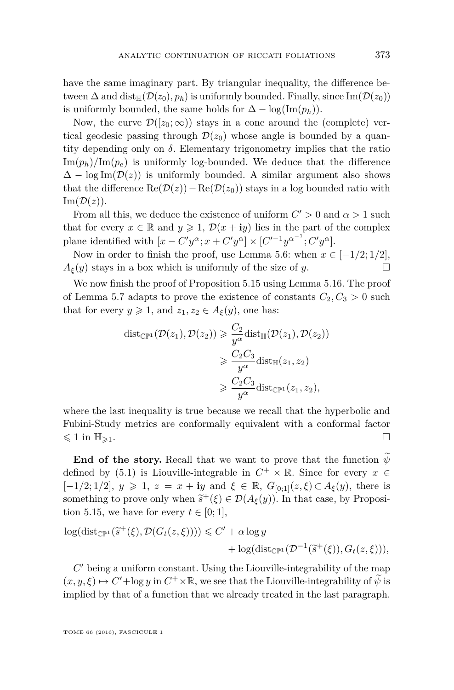have the same imaginary part. By triangular inequality, the difference between  $\Delta$  and dist<sub>H</sub>( $\mathcal{D}(z_0)$ ,  $p_h$ ) is uniformly bounded. Finally, since Im( $\mathcal{D}(z_0)$ ) is uniformly bounded, the same holds for  $\Delta - \log(\text{Im}(p_h))$ .

Now, the curve  $\mathcal{D}([z_0;\infty))$  stays in a cone around the (complete) vertical geodesic passing through  $\mathcal{D}(z_0)$  whose angle is bounded by a quantity depending only on  $\delta$ . Elementary trigonometry implies that the ratio  $\text{Im}(p_h)/\text{Im}(p_e)$  is uniformly log-bounded. We deduce that the difference  $\Delta - \log \text{Im}(\mathcal{D}(z))$  is uniformly bounded. A similar argument also shows that the difference  $\text{Re}(\mathcal{D}(z))-\text{Re}(\mathcal{D}(z_0))$  stays in a log bounded ratio with  $\text{Im}(\mathcal{D}(z)).$ 

From all this, we deduce the existence of uniform  $C' > 0$  and  $\alpha > 1$  such that for every  $x \in \mathbb{R}$  and  $y \geq 1$ ,  $\mathcal{D}(x + iy)$  lies in the part of the complex plane identified with  $[x - C'y^{\alpha}; x + C'y^{\alpha}] \times [C'^{-1}y^{\alpha^{-1}}; C'y^{\alpha}]$ .

Now in order to finish the proof, use Lemma [5.6:](#page-34-0) when  $x \in [-1/2; 1/2]$ ,  $A_{\xi}(y)$  stays in a box which is uniformly of the size of *y*.

We now finish the proof of Proposition [5.15](#page-42-0) using Lemma [5.16.](#page-42-1) The proof of Lemma [5.7](#page-34-1) adapts to prove the existence of constants  $C_2, C_3 > 0$  such that for every  $y \ge 1$ , and  $z_1, z_2 \in A_{\xi}(y)$ , one has:

$$
\begin{aligned} \text{dist}_{\mathbb{CP}^1}(\mathcal{D}(z_1), \mathcal{D}(z_2)) &\geq \frac{C_2}{y^{\alpha}} \text{dist}_{\mathbb{H}}(\mathcal{D}(z_1), \mathcal{D}(z_2)) \\ &\geqslant \frac{C_2 C_3}{y^{\alpha}} \text{dist}_{\mathbb{H}}(z_1, z_2) \\ &\geqslant \frac{C_2 C_3}{y^{\alpha}} \text{dist}_{\mathbb{CP}^1}(z_1, z_2), \end{aligned}
$$

where the last inequality is true because we recall that the hyperbolic and Fubini-Study metrics are conformally equivalent with a conformal factor  $\leqslant 1$  in  $\mathbb{H}_{\geqslant 1}$ .

**End of the story.** Recall that we want to prove that the function  $\psi$ defined by [\(5.1\)](#page-28-0) is Liouville-integrable in  $C^+ \times \mathbb{R}$ . Since for every  $x \in$  $[-1/2; 1/2]$ , *y* ≥ 1, *z* = *x* + **i***y* and *ξ* ∈ ℝ, *G*<sub>[0;1]</sub>(*z*, *ξ*) ⊂ *A*<sub>*ξ*</sub>(*y*), there is something to prove only when  $\tilde{s}^+(\xi) \in \mathcal{D}(A_{\xi}(y))$ . In that case, by Proposition 5.15, we have for some  $t \in [0, 1]$ . tion [5.15,](#page-42-0) we have for every  $t \in [0, 1]$ ,

$$
\log(\text{dist}_{\mathbb{CP}^1}(\tilde{s}^+(\xi), \mathcal{D}(G_t(z,\xi)))) \leq C' + \alpha \log y + \log(\text{dist}_{\mathbb{CP}^1}(\mathcal{D}^{-1}(\tilde{s}^+(\xi)), G_t(z,\xi))),
$$

 $C'$  being a uniform constant. Using the Liouville-integrability of the map  $(x, y, \xi) \mapsto C' + \log y$  in  $C^+ \times \mathbb{R}$ , we see that the Liouville-integrability of  $\widetilde{\psi}$  is implied by that of a function that we already treated in the last paragraph.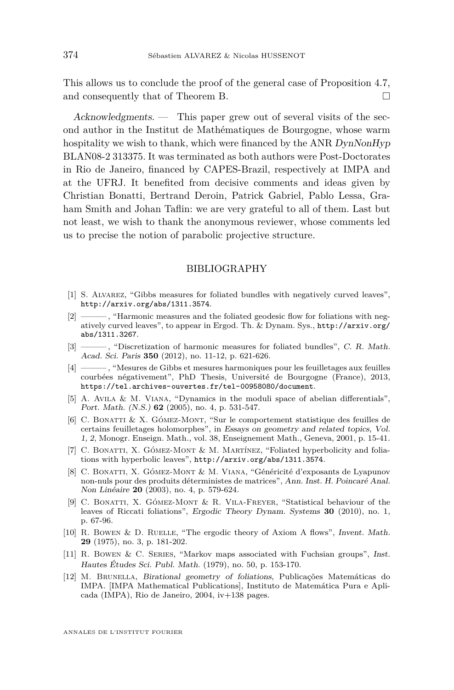This allows us to conclude the proof of the general case of Proposition [4.7,](#page-27-2) and consequently that of Theorem [B.](#page-6-0)

Acknowledgments. — This paper grew out of several visits of the second author in the Institut de Mathématiques de Bourgogne, whose warm hospitality we wish to thank, which were financed by the ANR  $DynNonHyp$ BLAN08-2 313375. It was terminated as both authors were Post-Doctorates in Rio de Janeiro, financed by CAPES-Brazil, respectively at IMPA and at the UFRJ. It benefited from decisive comments and ideas given by Christian Bonatti, Bertrand Deroin, Patrick Gabriel, Pablo Lessa, Graham Smith and Johan Taflin: we are very grateful to all of them. Last but not least, we wish to thank the anonymous reviewer, whose comments led us to precise the notion of parabolic projective structure.

#### BIBLIOGRAPHY

- <span id="page-44-3"></span>[1] S. Alvarez, "Gibbs measures for foliated bundles with negatively curved leaves", <http://arxiv.org/abs/1311.3574>.
- <span id="page-44-10"></span>[2] ——— , "Harmonic measures and the foliated geodesic flow for foliations with negatively curved leaves", to appear in Ergod. Th. & Dynam. Sys., [http://arxiv.org/](http://arxiv.org/abs/1311.3267) [abs/1311.3267](http://arxiv.org/abs/1311.3267).
- <span id="page-44-9"></span>[3] ——— , "Discretization of harmonic measures for foliated bundles", C. R. Math. Acad. Sci. Paris **350** (2012), no. 11-12, p. 621-626.
- <span id="page-44-2"></span>[4] ——— , "Mesures de Gibbs et mesures harmoniques pour les feuilletages aux feuilles courbées négativement", PhD Thesis, Université de Bourgogne (France), 2013, <https://tel.archives-ouvertes.fr/tel-00958080/document>.
- <span id="page-44-7"></span>[5] A. Avila & M. Viana, "Dynamics in the moduli space of abelian differentials", Port. Math. (N.S.) **62** (2005), no. 4, p. 531-547.
- <span id="page-44-4"></span>[6] C. Bonatti & X. Gómez-Mont, "Sur le comportement statistique des feuilles de certains feuilletages holomorphes", in Essays on geometry and related topics, Vol. 1, 2, Monogr. Enseign. Math., vol. 38, Enseignement Math., Geneva, 2001, p. 15-41.
- <span id="page-44-1"></span>[7] C. BONATTI, X. GÓMEZ-MONT & M. MARTÍNEZ, "Foliated hyperbolicity and foliations with hyperbolic leaves", <http://arxiv.org/abs/1311.3574>.
- <span id="page-44-5"></span>[8] C. Bonatti, X. Gómez-Mont & M. Viana, "Généricité d'exposants de Lyapunov non-nuls pour des produits déterministes de matrices", Ann. Inst. H. Poincaré Anal. Non Linéaire **20** (2003), no. 4, p. 579-624.
- <span id="page-44-6"></span>[9] C. Bonatti, X. Gómez-Mont & R. Vila-Freyer, "Statistical behaviour of the leaves of Riccati foliations", Ergodic Theory Dynam. Systems **30** (2010), no. 1, p. 67-96.
- <span id="page-44-8"></span>[10] R. Bowen & D. Ruelle, "The ergodic theory of Axiom A flows", Invent. Math. **29** (1975), no. 3, p. 181-202.
- <span id="page-44-11"></span>[11] R. Bowen & C. Series, "Markov maps associated with Fuchsian groups", Inst. Hautes Études Sci. Publ. Math. (1979), no. 50, p. 153-170.
- <span id="page-44-0"></span>[12] M. Brunella, Birational geometry of foliations, Publicações Matemáticas do IMPA. [IMPA Mathematical Publications], Instituto de Matemática Pura e Aplicada (IMPA), Rio de Janeiro, 2004, iv+138 pages.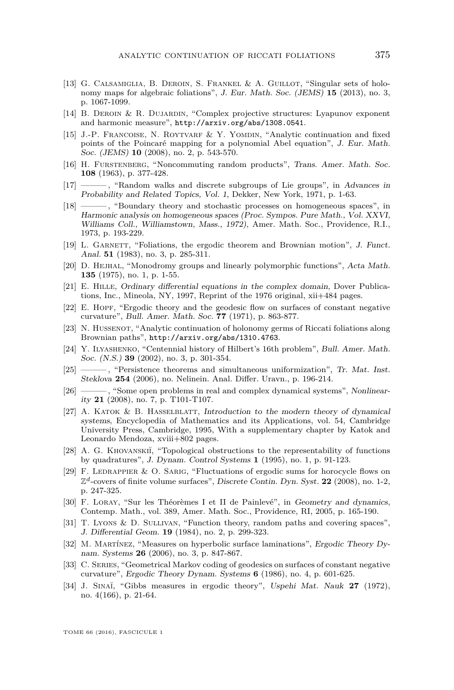- <span id="page-45-6"></span>[13] G. Calsamiglia, B. Deroin, S. Frankel & A. Guillot, "Singular sets of holonomy maps for algebraic foliations", J. Eur. Math. Soc. (JEMS) **15** (2013), no. 3, p. 1067-1099.
- <span id="page-45-9"></span>[14] B. Deroin & R. Dujardin, "Complex projective structures: Lyapunov exponent and harmonic measure", <http://arxiv.org/abs/1308.0541>.
- <span id="page-45-0"></span>[15] J.-P. Francoise, N. Roytvarf & Y. Yomdin, "Analytic continuation and fixed points of the Poincaré mapping for a polynomial Abel equation", J. Eur. Math. Soc. (JEMS) **10** (2008), no. 2, p. 543-570.
- <span id="page-45-17"></span>[16] H. Furstenberg, "Noncommuting random products", Trans. Amer. Math. Soc. **108** (1963), p. 377-428.
- <span id="page-45-18"></span>[17] ——— , "Random walks and discrete subgroups of Lie groups", in Advances in Probability and Related Topics, Vol. 1, Dekker, New York, 1971, p. 1-63.
- <span id="page-45-20"></span>[18] ——— , "Boundary theory and stochastic processes on homogeneous spaces", in Harmonic analysis on homogeneous spaces (Proc. Sympos. Pure Math., Vol. XXVI, Williams Coll., Williamstown, Mass., 1972), Amer. Math. Soc., Providence, R.I., 1973, p. 193-229.
- <span id="page-45-12"></span>[19] L. GARNETT, "Foliations, the ergodic theorem and Brownian motion", J. Funct. Anal. **51** (1983), no. 3, p. 285-311.
- <span id="page-45-14"></span>[20] D. Hejhal, "Monodromy groups and linearly polymorphic functions", Acta Math. **135** (1975), no. 1, p. 1-55.
- <span id="page-45-8"></span>[21] E. Hille, Ordinary differential equations in the complex domain, Dover Publications, Inc., Mineola, NY, 1997, Reprint of the 1976 original, xii+484 pages.
- <span id="page-45-15"></span>[22] E. HOPF, "Ergodic theory and the geodesic flow on surfaces of constant negative curvature", Bull. Amer. Math. Soc. **77** (1971), p. 863-877.
- <span id="page-45-7"></span>[23] N. HUSSENOT, "Analytic continuation of holonomy germs of Riccati foliations along Brownian paths", <http://arxiv.org/abs/1310.4763>.
- <span id="page-45-2"></span>[24] Y. Ilyashenko, "Centennial history of Hilbert's 16th problem", Bull. Amer. Math. Soc. (N.S.) **39** (2002), no. 3, p. 301-354.
- <span id="page-45-1"></span>[25] ——— , "Persistence theorems and simultaneous uniformization", Tr. Mat. Inst. Steklova **254** (2006), no. Nelinein. Anal. Differ. Uravn., p. 196-214.
- <span id="page-45-3"></span>[26] ——— , "Some open problems in real and complex dynamical systems", Nonlinearity **21** (2008), no. 7, p. T101-T107.
- <span id="page-45-21"></span>[27] A. KATOK  $\&$  B. HASSELBLATT, Introduction to the modern theory of dynamical systems, Encyclopedia of Mathematics and its Applications, vol. 54, Cambridge University Press, Cambridge, 1995, With a supplementary chapter by Katok and Leonardo Mendoza, xviii+802 pages.
- <span id="page-45-5"></span>[28] A. G. KHOVANSKII, "Topological obstructions to the representability of functions by quadratures", J. Dynam. Control Systems **1** (1995), no. 1, p. 91-123.
- <span id="page-45-10"></span>[29] F. LEDRAPPIER & O. SARIG, "Fluctuations of ergodic sums for horocycle flows on Z *<sup>d</sup>*-covers of finite volume surfaces", Discrete Contin. Dyn. Syst. **22** (2008), no. 1-2, p. 247-325.
- <span id="page-45-4"></span>[30] F. Loray, "Sur les Théorèmes I et II de Painlevé", in Geometry and dynamics, Contemp. Math., vol. 389, Amer. Math. Soc., Providence, RI, 2005, p. 165-190.
- <span id="page-45-19"></span>[31] T. Lyons & D. Sullivan, "Function theory, random paths and covering spaces", J. Differential Geom. **19** (1984), no. 2, p. 299-323.
- <span id="page-45-13"></span>[32] M. Martínez, "Measures on hyperbolic surface laminations", Ergodic Theory Dynam. Systems **26** (2006), no. 3, p. 847-867.
- <span id="page-45-16"></span>[33] C. SERIES, "Geometrical Markov coding of geodesics on surfaces of constant negative curvature", Ergodic Theory Dynam. Systems **6** (1986), no. 4, p. 601-625.
- <span id="page-45-11"></span>[34] J. Sina˘ı, "Gibbs measures in ergodic theory", Uspehi Mat. Nauk **27** (1972), no. 4(166), p. 21-64.